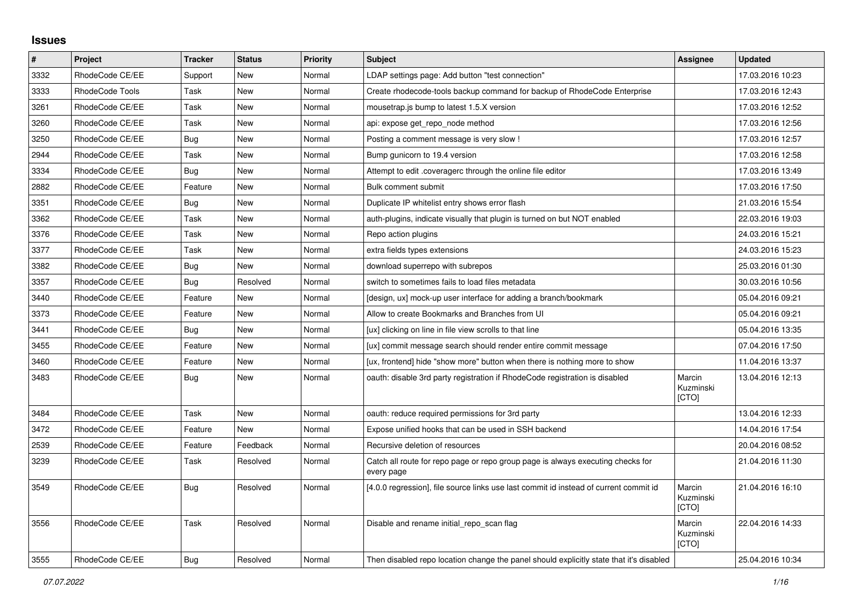## **Issues**

| $\pmb{\#}$ | Project         | <b>Tracker</b> | <b>Status</b> | <b>Priority</b> | <b>Subject</b>                                                                                | Assignee                     | <b>Updated</b>   |
|------------|-----------------|----------------|---------------|-----------------|-----------------------------------------------------------------------------------------------|------------------------------|------------------|
| 3332       | RhodeCode CE/EE | Support        | New           | Normal          | LDAP settings page: Add button "test connection"                                              |                              | 17.03.2016 10:23 |
| 3333       | RhodeCode Tools | Task           | <b>New</b>    | Normal          | Create rhodecode-tools backup command for backup of RhodeCode Enterprise                      |                              | 17.03.2016 12:43 |
| 3261       | RhodeCode CE/EE | Task           | New           | Normal          | mousetrap.js bump to latest 1.5.X version                                                     |                              | 17.03.2016 12:52 |
| 3260       | RhodeCode CE/EE | Task           | <b>New</b>    | Normal          | api: expose get repo node method                                                              |                              | 17.03.2016 12:56 |
| 3250       | RhodeCode CE/EE | Bug            | New           | Normal          | Posting a comment message is very slow !                                                      |                              | 17.03.2016 12:57 |
| 2944       | RhodeCode CE/EE | Task           | New           | Normal          | Bump gunicorn to 19.4 version                                                                 |                              | 17.03.2016 12:58 |
| 3334       | RhodeCode CE/EE | Bug            | <b>New</b>    | Normal          | Attempt to edit .coveragerc through the online file editor                                    |                              | 17.03.2016 13:49 |
| 2882       | RhodeCode CE/EE | Feature        | <b>New</b>    | Normal          | <b>Bulk comment submit</b>                                                                    |                              | 17.03.2016 17:50 |
| 3351       | RhodeCode CE/EE | <b>Bug</b>     | New           | Normal          | Duplicate IP whitelist entry shows error flash                                                |                              | 21.03.2016 15:54 |
| 3362       | RhodeCode CE/EE | Task           | New           | Normal          | auth-plugins, indicate visually that plugin is turned on but NOT enabled                      |                              | 22.03.2016 19:03 |
| 3376       | RhodeCode CE/EE | Task           | New           | Normal          | Repo action plugins                                                                           |                              | 24.03.2016 15:21 |
| 3377       | RhodeCode CE/EE | Task           | <b>New</b>    | Normal          | extra fields types extensions                                                                 |                              | 24.03.2016 15:23 |
| 3382       | RhodeCode CE/EE | Bug            | New           | Normal          | download superrepo with subrepos                                                              |                              | 25.03.2016 01:30 |
| 3357       | RhodeCode CE/EE | <b>Bug</b>     | Resolved      | Normal          | switch to sometimes fails to load files metadata                                              |                              | 30.03.2016 10:56 |
| 3440       | RhodeCode CE/EE | Feature        | <b>New</b>    | Normal          | [design, ux] mock-up user interface for adding a branch/bookmark                              |                              | 05.04.2016 09:21 |
| 3373       | RhodeCode CE/EE | Feature        | <b>New</b>    | Normal          | Allow to create Bookmarks and Branches from UI                                                |                              | 05.04.2016 09:21 |
| 3441       | RhodeCode CE/EE | <b>Bug</b>     | New           | Normal          | [ux] clicking on line in file view scrolls to that line                                       |                              | 05.04.2016 13:35 |
| 3455       | RhodeCode CE/EE | Feature        | <b>New</b>    | Normal          | [ux] commit message search should render entire commit message                                |                              | 07.04.2016 17:50 |
| 3460       | RhodeCode CE/EE | Feature        | New           | Normal          | [ux, frontend] hide "show more" button when there is nothing more to show                     |                              | 11.04.2016 13:37 |
| 3483       | RhodeCode CE/EE | Bug            | New           | Normal          | oauth: disable 3rd party registration if RhodeCode registration is disabled                   | Marcin<br>Kuzminski<br>[CTO] | 13.04.2016 12:13 |
| 3484       | RhodeCode CE/EE | Task           | New           | Normal          | oauth: reduce required permissions for 3rd party                                              |                              | 13.04.2016 12:33 |
| 3472       | RhodeCode CE/EE | Feature        | New           | Normal          | Expose unified hooks that can be used in SSH backend                                          |                              | 14.04.2016 17:54 |
| 2539       | RhodeCode CE/EE | Feature        | Feedback      | Normal          | Recursive deletion of resources                                                               |                              | 20.04.2016 08:52 |
| 3239       | RhodeCode CE/EE | Task           | Resolved      | Normal          | Catch all route for repo page or repo group page is always executing checks for<br>every page |                              | 21.04.2016 11:30 |
| 3549       | RhodeCode CE/EE | Bug            | Resolved      | Normal          | [4.0.0 regression], file source links use last commit id instead of current commit id         | Marcin<br>Kuzminski<br>[CTO] | 21.04.2016 16:10 |
| 3556       | RhodeCode CE/EE | Task           | Resolved      | Normal          | Disable and rename initial repo scan flag                                                     | Marcin<br>Kuzminski<br>[CTO] | 22.04.2016 14:33 |
| 3555       | RhodeCode CE/EE | Bug            | Resolved      | Normal          | Then disabled repo location change the panel should explicitly state that it's disabled       |                              | 25.04.2016 10:34 |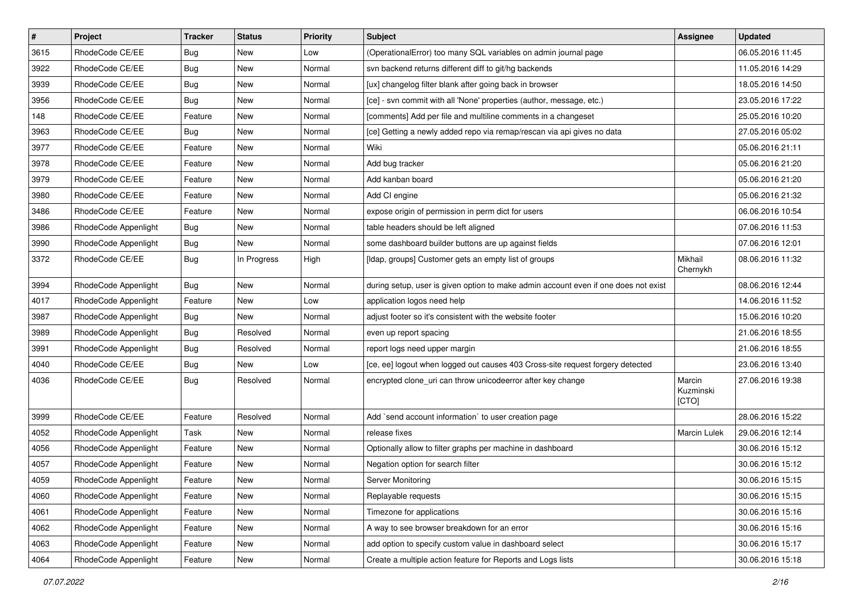| $\pmb{\#}$ | Project              | <b>Tracker</b> | <b>Status</b> | Priority | <b>Subject</b>                                                                      | <b>Assignee</b>              | <b>Updated</b>   |
|------------|----------------------|----------------|---------------|----------|-------------------------------------------------------------------------------------|------------------------------|------------------|
| 3615       | RhodeCode CE/EE      | Bug            | New           | Low      | (OperationalError) too many SQL variables on admin journal page                     |                              | 06.05.2016 11:45 |
| 3922       | RhodeCode CE/EE      | <b>Bug</b>     | New           | Normal   | svn backend returns different diff to git/hg backends                               |                              | 11.05.2016 14:29 |
| 3939       | RhodeCode CE/EE      | <b>Bug</b>     | New           | Normal   | [ux] changelog filter blank after going back in browser                             |                              | 18.05.2016 14:50 |
| 3956       | RhodeCode CE/EE      | Bug            | New           | Normal   | [ce] - svn commit with all 'None' properties (author, message, etc.)                |                              | 23.05.2016 17:22 |
| 148        | RhodeCode CE/EE      | Feature        | New           | Normal   | [comments] Add per file and multiline comments in a changeset                       |                              | 25.05.2016 10:20 |
| 3963       | RhodeCode CE/EE      | <b>Bug</b>     | New           | Normal   | [ce] Getting a newly added repo via remap/rescan via api gives no data              |                              | 27.05.2016 05:02 |
| 3977       | RhodeCode CE/EE      | Feature        | New           | Normal   | Wiki                                                                                |                              | 05.06.2016 21:11 |
| 3978       | RhodeCode CE/EE      | Feature        | New           | Normal   | Add bug tracker                                                                     |                              | 05.06.2016 21:20 |
| 3979       | RhodeCode CE/EE      | Feature        | New           | Normal   | Add kanban board                                                                    |                              | 05.06.2016 21:20 |
| 3980       | RhodeCode CE/EE      | Feature        | New           | Normal   | Add CI engine                                                                       |                              | 05.06.2016 21:32 |
| 3486       | RhodeCode CE/EE      | Feature        | New           | Normal   | expose origin of permission in perm dict for users                                  |                              | 06.06.2016 10:54 |
| 3986       | RhodeCode Appenlight | Bug            | New           | Normal   | table headers should be left aligned                                                |                              | 07.06.2016 11:53 |
| 3990       | RhodeCode Appenlight | Bug            | <b>New</b>    | Normal   | some dashboard builder buttons are up against fields                                |                              | 07.06.2016 12:01 |
| 3372       | RhodeCode CE/EE      | Bug            | In Progress   | High     | [Idap, groups] Customer gets an empty list of groups                                | Mikhail<br>Chernykh          | 08.06.2016 11:32 |
| 3994       | RhodeCode Appenlight | Bug            | <b>New</b>    | Normal   | during setup, user is given option to make admin account even if one does not exist |                              | 08.06.2016 12:44 |
| 4017       | RhodeCode Appenlight | Feature        | New           | Low      | application logos need help                                                         |                              | 14.06.2016 11:52 |
| 3987       | RhodeCode Appenlight | Bug            | <b>New</b>    | Normal   | adjust footer so it's consistent with the website footer                            |                              | 15.06.2016 10:20 |
| 3989       | RhodeCode Appenlight | Bug            | Resolved      | Normal   | even up report spacing                                                              |                              | 21.06.2016 18:55 |
| 3991       | RhodeCode Appenlight | Bug            | Resolved      | Normal   | report logs need upper margin                                                       |                              | 21.06.2016 18:55 |
| 4040       | RhodeCode CE/EE      | Bug            | New           | Low      | [ce, ee] logout when logged out causes 403 Cross-site request forgery detected      |                              | 23.06.2016 13:40 |
| 4036       | RhodeCode CE/EE      | Bug            | Resolved      | Normal   | encrypted clone_uri can throw unicodeerror after key change                         | Marcin<br>Kuzminski<br>[CTO] | 27.06.2016 19:38 |
| 3999       | RhodeCode CE/EE      | Feature        | Resolved      | Normal   | Add `send account information` to user creation page                                |                              | 28.06.2016 15:22 |
| 4052       | RhodeCode Appenlight | Task           | New           | Normal   | release fixes                                                                       | Marcin Lulek                 | 29.06.2016 12:14 |
| 4056       | RhodeCode Appenlight | Feature        | New           | Normal   | Optionally allow to filter graphs per machine in dashboard                          |                              | 30.06.2016 15:12 |
| 4057       | RhodeCode Appenlight | Feature        | New           | Normal   | Negation option for search filter                                                   |                              | 30.06.2016 15:12 |
| 4059       | RhodeCode Appenlight | Feature        | New           | Normal   | Server Monitoring                                                                   |                              | 30.06.2016 15:15 |
| 4060       | RhodeCode Appenlight | Feature        | New           | Normal   | Replayable requests                                                                 |                              | 30.06.2016 15:15 |
| 4061       | RhodeCode Appenlight | Feature        | New           | Normal   | Timezone for applications                                                           |                              | 30.06.2016 15:16 |
| 4062       | RhodeCode Appenlight | Feature        | New           | Normal   | A way to see browser breakdown for an error                                         |                              | 30.06.2016 15:16 |
| 4063       | RhodeCode Appenlight | Feature        | New           | Normal   | add option to specify custom value in dashboard select                              |                              | 30.06.2016 15:17 |
| 4064       | RhodeCode Appenlight | Feature        | New           | Normal   | Create a multiple action feature for Reports and Logs lists                         |                              | 30.06.2016 15:18 |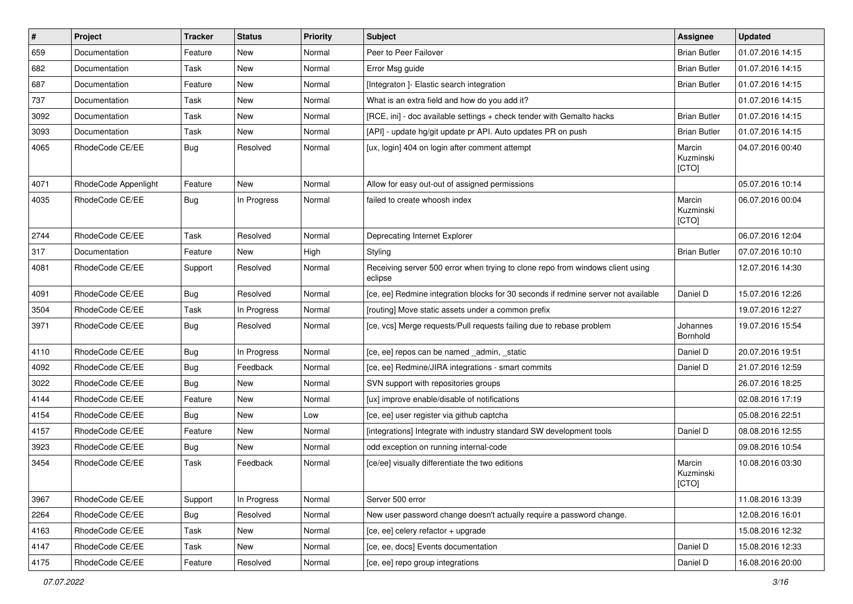| $\vert$ # | Project              | <b>Tracker</b> | <b>Status</b> | <b>Priority</b> | <b>Subject</b>                                                                            | <b>Assignee</b>              | <b>Updated</b>   |
|-----------|----------------------|----------------|---------------|-----------------|-------------------------------------------------------------------------------------------|------------------------------|------------------|
| 659       | Documentation        | Feature        | New           | Normal          | Peer to Peer Failover                                                                     | <b>Brian Butler</b>          | 01.07.2016 14:15 |
| 682       | Documentation        | Task           | <b>New</b>    | Normal          | Error Msg guide                                                                           | <b>Brian Butler</b>          | 01.07.2016 14:15 |
| 687       | Documentation        | Feature        | New           | Normal          | [Integraton] - Elastic search integration                                                 | <b>Brian Butler</b>          | 01.07.2016 14:15 |
| 737       | Documentation        | Task           | New           | Normal          | What is an extra field and how do you add it?                                             |                              | 01.07.2016 14:15 |
| 3092      | Documentation        | Task           | <b>New</b>    | Normal          | [RCE, ini] - doc available settings + check tender with Gemalto hacks                     | <b>Brian Butler</b>          | 01.07.2016 14:15 |
| 3093      | Documentation        | Task           | New           | Normal          | [API] - update hg/git update pr API. Auto updates PR on push                              | <b>Brian Butler</b>          | 01.07.2016 14:15 |
| 4065      | RhodeCode CE/EE      | Bug            | Resolved      | Normal          | [ux, login] 404 on login after comment attempt                                            | Marcin<br>Kuzminski<br>[CTO] | 04.07.2016 00:40 |
| 4071      | RhodeCode Appenlight | Feature        | <b>New</b>    | Normal          | Allow for easy out-out of assigned permissions                                            |                              | 05.07.2016 10:14 |
| 4035      | RhodeCode CE/EE      | Bug            | In Progress   | Normal          | failed to create whoosh index                                                             | Marcin<br>Kuzminski<br>[CTO] | 06.07.2016 00:04 |
| 2744      | RhodeCode CE/EE      | Task           | Resolved      | Normal          | Deprecating Internet Explorer                                                             |                              | 06.07.2016 12:04 |
| 317       | Documentation        | Feature        | New           | High            | Styling                                                                                   | <b>Brian Butler</b>          | 07.07.2016 10:10 |
| 4081      | RhodeCode CE/EE      | Support        | Resolved      | Normal          | Receiving server 500 error when trying to clone repo from windows client using<br>eclipse |                              | 12.07.2016 14:30 |
| 4091      | RhodeCode CE/EE      | Bug            | Resolved      | Normal          | [ce, ee] Redmine integration blocks for 30 seconds if redmine server not available        | Daniel D                     | 15.07.2016 12:26 |
| 3504      | RhodeCode CE/EE      | Task           | In Progress   | Normal          | [routing] Move static assets under a common prefix                                        |                              | 19.07.2016 12:27 |
| 3971      | RhodeCode CE/EE      | Bug            | Resolved      | Normal          | [ce, vcs] Merge requests/Pull requests failing due to rebase problem                      | Johannes<br>Bornhold         | 19.07.2016 15:54 |
| 4110      | RhodeCode CE/EE      | <b>Bug</b>     | In Progress   | Normal          | [ce, ee] repos can be named _admin, _static                                               | Daniel D                     | 20.07.2016 19:51 |
| 4092      | RhodeCode CE/EE      | <b>Bug</b>     | Feedback      | Normal          | [ce, ee] Redmine/JIRA integrations - smart commits                                        | Daniel D                     | 21.07.2016 12:59 |
| 3022      | RhodeCode CE/EE      | Bug            | <b>New</b>    | Normal          | SVN support with repositories groups                                                      |                              | 26.07.2016 18:25 |
| 4144      | RhodeCode CE/EE      | Feature        | New           | Normal          | [ux] improve enable/disable of notifications                                              |                              | 02.08.2016 17:19 |
| 4154      | RhodeCode CE/EE      | <b>Bug</b>     | <b>New</b>    | Low             | [ce, ee] user register via github captcha                                                 |                              | 05.08.2016 22:51 |
| 4157      | RhodeCode CE/EE      | Feature        | New           | Normal          | [integrations] Integrate with industry standard SW development tools                      | Daniel D                     | 08.08.2016 12:55 |
| 3923      | RhodeCode CE/EE      | Bug            | New           | Normal          | odd exception on running internal-code                                                    |                              | 09.08.2016 10:54 |
| 3454      | RhodeCode CE/EE      | Task           | Feedback      | Normal          | [ce/ee] visually differentiate the two editions                                           | Marcin<br>Kuzminski<br>[CTO] | 10.08.2016 03:30 |
| 3967      | RhodeCode CE/EE      | Support        | In Progress   | Normal          | Server 500 error                                                                          |                              | 11.08.2016 13:39 |
| 2264      | RhodeCode CE/EE      | <b>Bug</b>     | Resolved      | Normal          | New user password change doesn't actually require a password change.                      |                              | 12.08.2016 16:01 |
| 4163      | RhodeCode CE/EE      | Task           | New           | Normal          | [ce, ee] celery refactor + upgrade                                                        |                              | 15.08.2016 12:32 |
| 4147      | RhodeCode CE/EE      | Task           | New           | Normal          | [ce, ee, docs] Events documentation                                                       | Daniel D                     | 15.08.2016 12:33 |
| 4175      | RhodeCode CE/EE      | Feature        | Resolved      | Normal          | [ce, ee] repo group integrations                                                          | Daniel D                     | 16.08.2016 20:00 |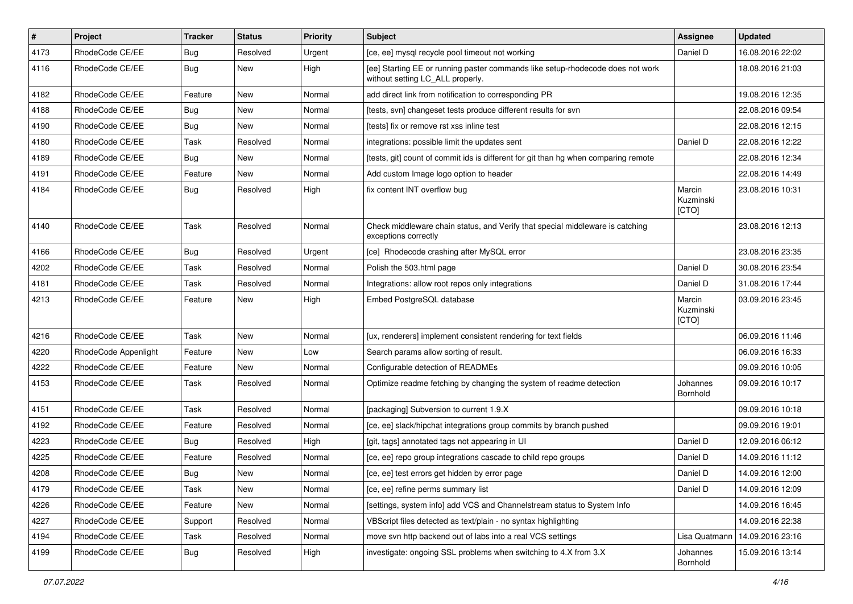| $\vert$ # | Project              | <b>Tracker</b> | <b>Status</b> | Priority | <b>Subject</b>                                                                                                     | <b>Assignee</b>              | <b>Updated</b>   |
|-----------|----------------------|----------------|---------------|----------|--------------------------------------------------------------------------------------------------------------------|------------------------------|------------------|
| 4173      | RhodeCode CE/EE      | <b>Bug</b>     | Resolved      | Urgent   | [ce, ee] mysql recycle pool timeout not working                                                                    | Daniel D                     | 16.08.2016 22:02 |
| 4116      | RhodeCode CE/EE      | Bug            | New           | High     | [ee] Starting EE or running paster commands like setup-rhodecode does not work<br>without setting LC_ALL properly. |                              | 18.08.2016 21:03 |
| 4182      | RhodeCode CE/EE      | Feature        | <b>New</b>    | Normal   | add direct link from notification to corresponding PR                                                              |                              | 19.08.2016 12:35 |
| 4188      | RhodeCode CE/EE      | Bug            | <b>New</b>    | Normal   | [tests, svn] changeset tests produce different results for svn                                                     |                              | 22.08.2016 09:54 |
| 4190      | RhodeCode CE/EE      | Bug            | New           | Normal   | [tests] fix or remove rst xss inline test                                                                          |                              | 22.08.2016 12:15 |
| 4180      | RhodeCode CE/EE      | Task           | Resolved      | Normal   | integrations: possible limit the updates sent                                                                      | Daniel D                     | 22.08.2016 12:22 |
| 4189      | RhodeCode CE/EE      | Bug            | <b>New</b>    | Normal   | [tests, git] count of commit ids is different for git than hg when comparing remote                                |                              | 22.08.2016 12:34 |
| 4191      | RhodeCode CE/EE      | Feature        | New           | Normal   | Add custom Image logo option to header                                                                             |                              | 22.08.2016 14:49 |
| 4184      | RhodeCode CE/EE      | Bug            | Resolved      | High     | fix content INT overflow bug                                                                                       | Marcin<br>Kuzminski<br>[CTO] | 23.08.2016 10:31 |
| 4140      | RhodeCode CE/EE      | Task           | Resolved      | Normal   | Check middleware chain status, and Verify that special middleware is catching<br>exceptions correctly              |                              | 23.08.2016 12:13 |
| 4166      | RhodeCode CE/EE      | Bug            | Resolved      | Urgent   | [ce] Rhodecode crashing after MySQL error                                                                          |                              | 23.08.2016 23:35 |
| 4202      | RhodeCode CE/EE      | Task           | Resolved      | Normal   | Polish the 503.html page                                                                                           | Daniel D                     | 30.08.2016 23:54 |
| 4181      | RhodeCode CE/EE      | Task           | Resolved      | Normal   | Integrations: allow root repos only integrations                                                                   | Daniel D                     | 31.08.2016 17:44 |
| 4213      | RhodeCode CE/EE      | Feature        | <b>New</b>    | High     | Embed PostgreSQL database                                                                                          | Marcin<br>Kuzminski<br>[CTO] | 03.09.2016 23:45 |
| 4216      | RhodeCode CE/EE      | Task           | <b>New</b>    | Normal   | [ux, renderers] implement consistent rendering for text fields                                                     |                              | 06.09.2016 11:46 |
| 4220      | RhodeCode Appenlight | Feature        | New           | Low      | Search params allow sorting of result.                                                                             |                              | 06.09.2016 16:33 |
| 4222      | RhodeCode CE/EE      | Feature        | <b>New</b>    | Normal   | Configurable detection of READMEs                                                                                  |                              | 09.09.2016 10:05 |
| 4153      | RhodeCode CE/EE      | Task           | Resolved      | Normal   | Optimize readme fetching by changing the system of readme detection                                                | Johannes<br>Bornhold         | 09.09.2016 10:17 |
| 4151      | RhodeCode CE/EE      | Task           | Resolved      | Normal   | [packaging] Subversion to current 1.9.X                                                                            |                              | 09.09.2016 10:18 |
| 4192      | RhodeCode CE/EE      | Feature        | Resolved      | Normal   | [ce, ee] slack/hipchat integrations group commits by branch pushed                                                 |                              | 09.09.2016 19:01 |
| 4223      | RhodeCode CE/EE      | Bug            | Resolved      | High     | [git, tags] annotated tags not appearing in UI                                                                     | Daniel D                     | 12.09.2016 06:12 |
| 4225      | RhodeCode CE/EE      | Feature        | Resolved      | Normal   | [ce, ee] repo group integrations cascade to child repo groups                                                      | Daniel D                     | 14.09.2016 11:12 |
| 4208      | RhodeCode CE/EE      | Bug            | New           | Normal   | [ce, ee] test errors get hidden by error page                                                                      | Daniel D                     | 14.09.2016 12:00 |
| 4179      | RhodeCode CE/EE      | Task           | New           | Normal   | [ce, ee] refine perms summary list                                                                                 | Daniel D                     | 14.09.2016 12:09 |
| 4226      | RhodeCode CE/EE      | Feature        | New           | Normal   | [settings, system info] add VCS and Channelstream status to System Info                                            |                              | 14.09.2016 16:45 |
| 4227      | RhodeCode CE/EE      | Support        | Resolved      | Normal   | VBScript files detected as text/plain - no syntax highlighting                                                     |                              | 14.09.2016 22:38 |
| 4194      | RhodeCode CE/EE      | Task           | Resolved      | Normal   | move svn http backend out of labs into a real VCS settings                                                         | Lisa Quatmann                | 14.09.2016 23:16 |
| 4199      | RhodeCode CE/EE      | Bug            | Resolved      | High     | investigate: ongoing SSL problems when switching to 4.X from 3.X                                                   | Johannes<br>Bornhold         | 15.09.2016 13:14 |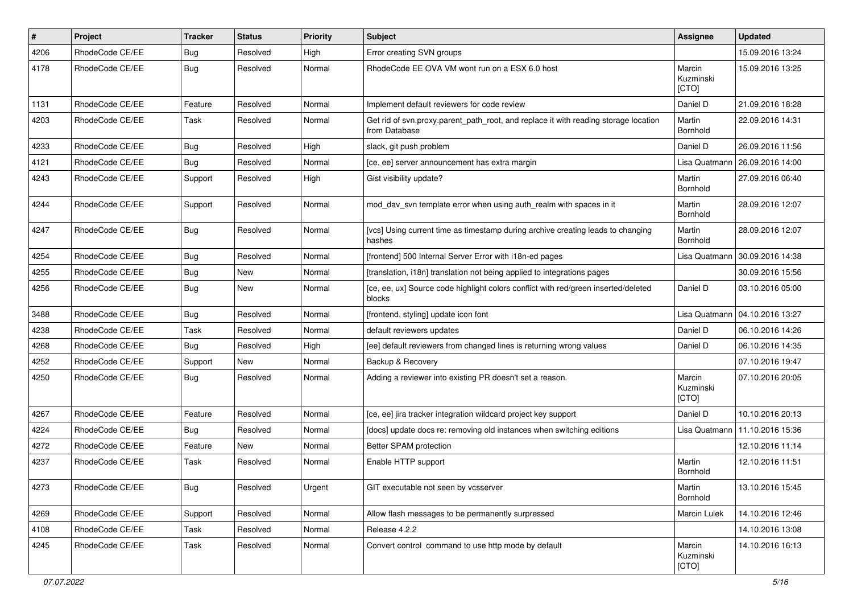| $\pmb{\#}$ | Project         | <b>Tracker</b> | <b>Status</b> | <b>Priority</b> | <b>Subject</b>                                                                                       | <b>Assignee</b>              | <b>Updated</b>   |
|------------|-----------------|----------------|---------------|-----------------|------------------------------------------------------------------------------------------------------|------------------------------|------------------|
| 4206       | RhodeCode CE/EE | Bug            | Resolved      | High            | Error creating SVN groups                                                                            |                              | 15.09.2016 13:24 |
| 4178       | RhodeCode CE/EE | Bug            | Resolved      | Normal          | RhodeCode EE OVA VM wont run on a ESX 6.0 host                                                       | Marcin<br>Kuzminski<br>[CTO] | 15.09.2016 13:25 |
| 1131       | RhodeCode CE/EE | Feature        | Resolved      | Normal          | Implement default reviewers for code review                                                          | Daniel D                     | 21.09.2016 18:28 |
| 4203       | RhodeCode CE/EE | Task           | Resolved      | Normal          | Get rid of svn.proxy.parent_path_root, and replace it with reading storage location<br>from Database | Martin<br>Bornhold           | 22.09.2016 14:31 |
| 4233       | RhodeCode CE/EE | Bug            | Resolved      | High            | slack, git push problem                                                                              | Daniel D                     | 26.09.2016 11:56 |
| 4121       | RhodeCode CE/EE | Bug            | Resolved      | Normal          | [ce, ee] server announcement has extra margin                                                        | Lisa Quatmann                | 26.09.2016 14:00 |
| 4243       | RhodeCode CE/EE | Support        | Resolved      | High            | Gist visibility update?                                                                              | Martin<br>Bornhold           | 27.09.2016 06:40 |
| 4244       | RhodeCode CE/EE | Support        | Resolved      | Normal          | mod_dav_svn template error when using auth_realm with spaces in it                                   | Martin<br><b>Bornhold</b>    | 28.09.2016 12:07 |
| 4247       | RhodeCode CE/EE | <b>Bug</b>     | Resolved      | Normal          | [vcs] Using current time as timestamp during archive creating leads to changing<br>hashes            | Martin<br><b>Bornhold</b>    | 28.09.2016 12:07 |
| 4254       | RhodeCode CE/EE | Bug            | Resolved      | Normal          | [frontend] 500 Internal Server Error with i18n-ed pages                                              | Lisa Quatmann                | 30.09.2016 14:38 |
| 4255       | RhodeCode CE/EE | Bug            | New           | Normal          | [translation, i18n] translation not being applied to integrations pages                              |                              | 30.09.2016 15:56 |
| 4256       | RhodeCode CE/EE | Bug            | New           | Normal          | [ce, ee, ux] Source code highlight colors conflict with red/green inserted/deleted<br>blocks         | Daniel D                     | 03.10.2016 05:00 |
| 3488       | RhodeCode CE/EE | Bug            | Resolved      | Normal          | [frontend, styling] update icon font                                                                 | Lisa Quatmann                | 04.10.2016 13:27 |
| 4238       | RhodeCode CE/EE | Task           | Resolved      | Normal          | default reviewers updates                                                                            | Daniel D                     | 06.10.2016 14:26 |
| 4268       | RhodeCode CE/EE | Bug            | Resolved      | High            | [ee] default reviewers from changed lines is returning wrong values                                  | Daniel D                     | 06.10.2016 14:35 |
| 4252       | RhodeCode CE/EE | Support        | New           | Normal          | Backup & Recovery                                                                                    |                              | 07.10.2016 19:47 |
| 4250       | RhodeCode CE/EE | <b>Bug</b>     | Resolved      | Normal          | Adding a reviewer into existing PR doesn't set a reason.                                             | Marcin<br>Kuzminski<br>[CTO] | 07.10.2016 20:05 |
| 4267       | RhodeCode CE/EE | Feature        | Resolved      | Normal          | [ce, ee] jira tracker integration wildcard project key support                                       | Daniel D                     | 10.10.2016 20:13 |
| 4224       | RhodeCode CE/EE | Bug            | Resolved      | Normal          | [docs] update docs re: removing old instances when switching editions                                | Lisa Quatmann                | 11.10.2016 15:36 |
| 4272       | RhodeCode CE/EE | Feature        | New           | Normal          | Better SPAM protection                                                                               |                              | 12.10.2016 11:14 |
| 4237       | RhodeCode CE/EE | Task           | Resolved      | Normal          | Enable HTTP support                                                                                  | Martin<br>Bornhold           | 12.10.2016 11:51 |
| 4273       | RhodeCode CE/EE | <b>Bug</b>     | Resolved      | Urgent          | GIT executable not seen by vcsserver                                                                 | Martin<br>Bornhold           | 13.10.2016 15:45 |
| 4269       | RhodeCode CE/EE | Support        | Resolved      | Normal          | Allow flash messages to be permanently surpressed                                                    | Marcin Lulek                 | 14.10.2016 12:46 |
| 4108       | RhodeCode CE/EE | Task           | Resolved      | Normal          | Release 4.2.2                                                                                        |                              | 14.10.2016 13:08 |
| 4245       | RhodeCode CE/EE | Task           | Resolved      | Normal          | Convert control command to use http mode by default                                                  | Marcin<br>Kuzminski<br>[CTO] | 14.10.2016 16:13 |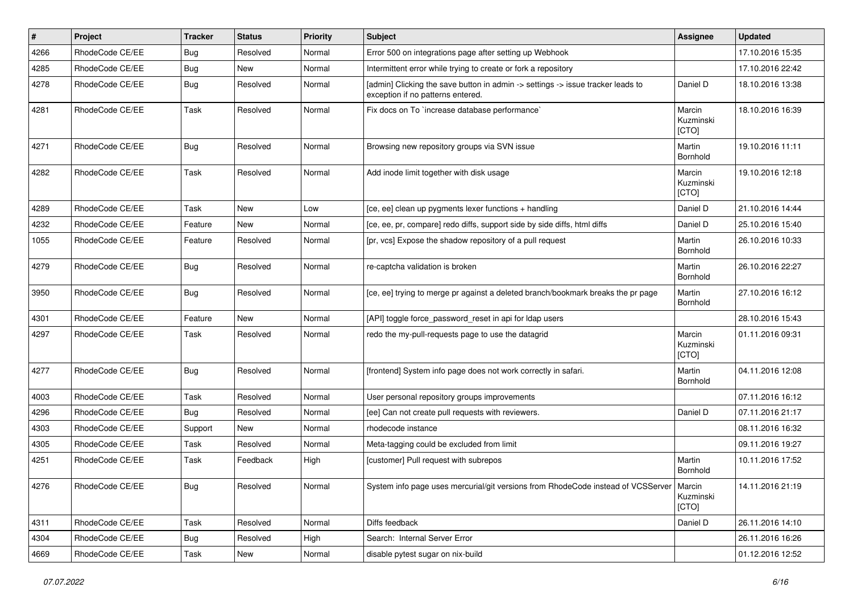| $\vert$ # | Project         | <b>Tracker</b> | <b>Status</b> | Priority | <b>Subject</b>                                                                                                       | <b>Assignee</b>              | <b>Updated</b>   |
|-----------|-----------------|----------------|---------------|----------|----------------------------------------------------------------------------------------------------------------------|------------------------------|------------------|
| 4266      | RhodeCode CE/EE | Bug            | Resolved      | Normal   | Error 500 on integrations page after setting up Webhook                                                              |                              | 17.10.2016 15:35 |
| 4285      | RhodeCode CE/EE | Bug            | <b>New</b>    | Normal   | Intermittent error while trying to create or fork a repository                                                       |                              | 17.10.2016 22:42 |
| 4278      | RhodeCode CE/EE | Bug            | Resolved      | Normal   | [admin] Clicking the save button in admin -> settings -> issue tracker leads to<br>exception if no patterns entered. | Daniel D                     | 18.10.2016 13:38 |
| 4281      | RhodeCode CE/EE | Task           | Resolved      | Normal   | Fix docs on To `increase database performance`                                                                       | Marcin<br>Kuzminski<br>[CTO] | 18.10.2016 16:39 |
| 4271      | RhodeCode CE/EE | Bug            | Resolved      | Normal   | Browsing new repository groups via SVN issue                                                                         | Martin<br>Bornhold           | 19.10.2016 11:11 |
| 4282      | RhodeCode CE/EE | Task           | Resolved      | Normal   | Add inode limit together with disk usage                                                                             | Marcin<br>Kuzminski<br>[CTO] | 19.10.2016 12:18 |
| 4289      | RhodeCode CE/EE | Task           | <b>New</b>    | Low      | [ce, ee] clean up pygments lexer functions + handling                                                                | Daniel D                     | 21.10.2016 14:44 |
| 4232      | RhodeCode CE/EE | Feature        | New           | Normal   | [ce, ee, pr, compare] redo diffs, support side by side diffs, html diffs                                             | Daniel D                     | 25.10.2016 15:40 |
| 1055      | RhodeCode CE/EE | Feature        | Resolved      | Normal   | [pr, vcs] Expose the shadow repository of a pull request                                                             | Martin<br>Bornhold           | 26.10.2016 10:33 |
| 4279      | RhodeCode CE/EE | Bug            | Resolved      | Normal   | re-captcha validation is broken                                                                                      | Martin<br>Bornhold           | 26.10.2016 22:27 |
| 3950      | RhodeCode CE/EE | <b>Bug</b>     | Resolved      | Normal   | [ce, ee] trying to merge pr against a deleted branch/bookmark breaks the pr page                                     | Martin<br>Bornhold           | 27.10.2016 16:12 |
| 4301      | RhodeCode CE/EE | Feature        | <b>New</b>    | Normal   | [API] toggle force_password_reset in api for Idap users                                                              |                              | 28.10.2016 15:43 |
| 4297      | RhodeCode CE/EE | Task           | Resolved      | Normal   | redo the my-pull-requests page to use the datagrid                                                                   | Marcin<br>Kuzminski<br>[CTO] | 01.11.2016 09:31 |
| 4277      | RhodeCode CE/EE | <b>Bug</b>     | Resolved      | Normal   | [frontend] System info page does not work correctly in safari.                                                       | Martin<br>Bornhold           | 04.11.2016 12:08 |
| 4003      | RhodeCode CE/EE | Task           | Resolved      | Normal   | User personal repository groups improvements                                                                         |                              | 07.11.2016 16:12 |
| 4296      | RhodeCode CE/EE | <b>Bug</b>     | Resolved      | Normal   | [ee] Can not create pull requests with reviewers.                                                                    | Daniel D                     | 07.11.2016 21:17 |
| 4303      | RhodeCode CE/EE | Support        | <b>New</b>    | Normal   | rhodecode instance                                                                                                   |                              | 08.11.2016 16:32 |
| 4305      | RhodeCode CE/EE | Task           | Resolved      | Normal   | Meta-tagging could be excluded from limit                                                                            |                              | 09.11.2016 19:27 |
| 4251      | RhodeCode CE/EE | Task           | Feedback      | High     | [customer] Pull request with subrepos                                                                                | Martin<br><b>Bornhold</b>    | 10.11.2016 17:52 |
| 4276      | RhodeCode CE/EE | Bug            | Resolved      | Normal   | System info page uses mercurial/git versions from RhodeCode instead of VCSServer   Marcin                            | Kuzminski<br>[CTO]           | 14.11.2016 21:19 |
| 4311      | RhodeCode CE/EE | Task           | Resolved      | Normal   | Diffs feedback                                                                                                       | Daniel D                     | 26.11.2016 14:10 |
| 4304      | RhodeCode CE/EE | Bug            | Resolved      | High     | Search: Internal Server Error                                                                                        |                              | 26.11.2016 16:26 |
| 4669      | RhodeCode CE/EE | Task           | New           | Normal   | disable pytest sugar on nix-build                                                                                    |                              | 01.12.2016 12:52 |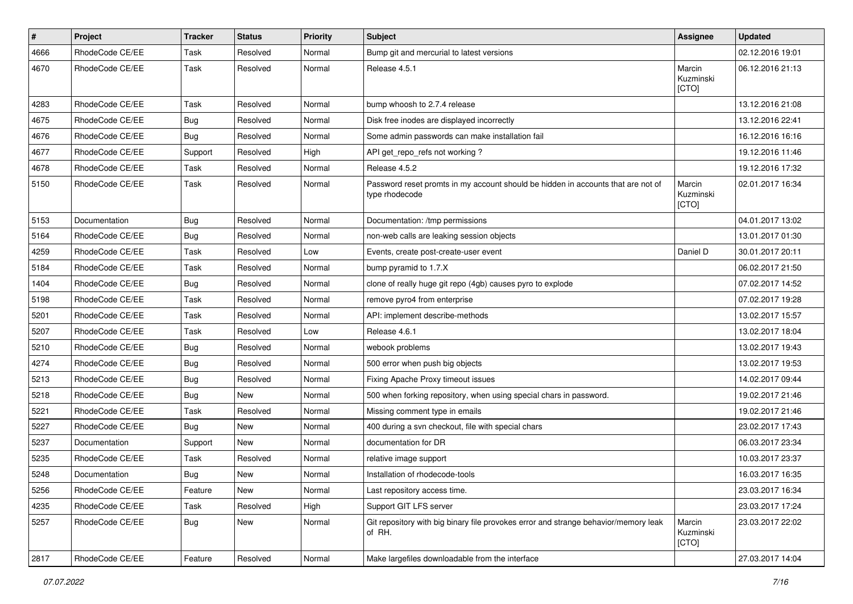| $\pmb{\#}$ | Project         | <b>Tracker</b> | <b>Status</b> | <b>Priority</b> | Subject                                                                                            | Assignee                     | <b>Updated</b>   |
|------------|-----------------|----------------|---------------|-----------------|----------------------------------------------------------------------------------------------------|------------------------------|------------------|
| 4666       | RhodeCode CE/EE | Task           | Resolved      | Normal          | Bump git and mercurial to latest versions                                                          |                              | 02.12.2016 19:01 |
| 4670       | RhodeCode CE/EE | Task           | Resolved      | Normal          | Release 4.5.1                                                                                      | Marcin<br>Kuzminski<br>[CTO] | 06.12.2016 21:13 |
| 4283       | RhodeCode CE/EE | Task           | Resolved      | Normal          | bump whoosh to 2.7.4 release                                                                       |                              | 13.12.2016 21:08 |
| 4675       | RhodeCode CE/EE | <b>Bug</b>     | Resolved      | Normal          | Disk free inodes are displayed incorrectly                                                         |                              | 13.12.2016 22:41 |
| 4676       | RhodeCode CE/EE | Bug            | Resolved      | Normal          | Some admin passwords can make installation fail                                                    |                              | 16.12.2016 16:16 |
| 4677       | RhodeCode CE/EE | Support        | Resolved      | High            | API get_repo_refs not working?                                                                     |                              | 19.12.2016 11:46 |
| 4678       | RhodeCode CE/EE | Task           | Resolved      | Normal          | Release 4.5.2                                                                                      |                              | 19.12.2016 17:32 |
| 5150       | RhodeCode CE/EE | Task           | Resolved      | Normal          | Password reset promts in my account should be hidden in accounts that are not of<br>type rhodecode | Marcin<br>Kuzminski<br>[CTO] | 02.01.2017 16:34 |
| 5153       | Documentation   | Bug            | Resolved      | Normal          | Documentation: /tmp permissions                                                                    |                              | 04.01.2017 13:02 |
| 5164       | RhodeCode CE/EE | <b>Bug</b>     | Resolved      | Normal          | non-web calls are leaking session objects                                                          |                              | 13.01.2017 01:30 |
| 4259       | RhodeCode CE/EE | Task           | Resolved      | Low             | Events, create post-create-user event                                                              | Daniel D                     | 30.01.2017 20:11 |
| 5184       | RhodeCode CE/EE | Task           | Resolved      | Normal          | bump pyramid to 1.7.X                                                                              |                              | 06.02.2017 21:50 |
| 1404       | RhodeCode CE/EE | <b>Bug</b>     | Resolved      | Normal          | clone of really huge git repo (4gb) causes pyro to explode                                         |                              | 07.02.2017 14:52 |
| 5198       | RhodeCode CE/EE | Task           | Resolved      | Normal          | remove pyro4 from enterprise                                                                       |                              | 07.02.2017 19:28 |
| 5201       | RhodeCode CE/EE | Task           | Resolved      | Normal          | API: implement describe-methods                                                                    |                              | 13.02.2017 15:57 |
| 5207       | RhodeCode CE/EE | Task           | Resolved      | Low             | Release 4.6.1                                                                                      |                              | 13.02.2017 18:04 |
| 5210       | RhodeCode CE/EE | Bug            | Resolved      | Normal          | webook problems                                                                                    |                              | 13.02.2017 19:43 |
| 4274       | RhodeCode CE/EE | <b>Bug</b>     | Resolved      | Normal          | 500 error when push big objects                                                                    |                              | 13.02.2017 19:53 |
| 5213       | RhodeCode CE/EE | Bug            | Resolved      | Normal          | Fixing Apache Proxy timeout issues                                                                 |                              | 14.02.2017 09:44 |
| 5218       | RhodeCode CE/EE | Bug            | <b>New</b>    | Normal          | 500 when forking repository, when using special chars in password.                                 |                              | 19.02.2017 21:46 |
| 5221       | RhodeCode CE/EE | Task           | Resolved      | Normal          | Missing comment type in emails                                                                     |                              | 19.02.2017 21:46 |
| 5227       | RhodeCode CE/EE | Bug            | New           | Normal          | 400 during a svn checkout, file with special chars                                                 |                              | 23.02.2017 17:43 |
| 5237       | Documentation   | Support        | <b>New</b>    | Normal          | documentation for DR                                                                               |                              | 06.03.2017 23:34 |
| 5235       | RhodeCode CE/EE | Task           | Resolved      | Normal          | relative image support                                                                             |                              | 10.03.2017 23:37 |
| 5248       | Documentation   | <b>Bug</b>     | <b>New</b>    | Normal          | Installation of rhodecode-tools                                                                    |                              | 16.03.2017 16:35 |
| 5256       | RhodeCode CE/EE | Feature        | New           | Normal          | Last repository access time.                                                                       |                              | 23.03.2017 16:34 |
| 4235       | RhodeCode CE/EE | Task           | Resolved      | High            | Support GIT LFS server                                                                             |                              | 23.03.2017 17:24 |
| 5257       | RhodeCode CE/EE | <b>Bug</b>     | New           | Normal          | Git repository with big binary file provokes error and strange behavior/memory leak<br>of RH.      | Marcin<br>Kuzminski<br>[CTO] | 23.03.2017 22:02 |
| 2817       | RhodeCode CE/EE | Feature        | Resolved      | Normal          | Make largefiles downloadable from the interface                                                    |                              | 27.03.2017 14:04 |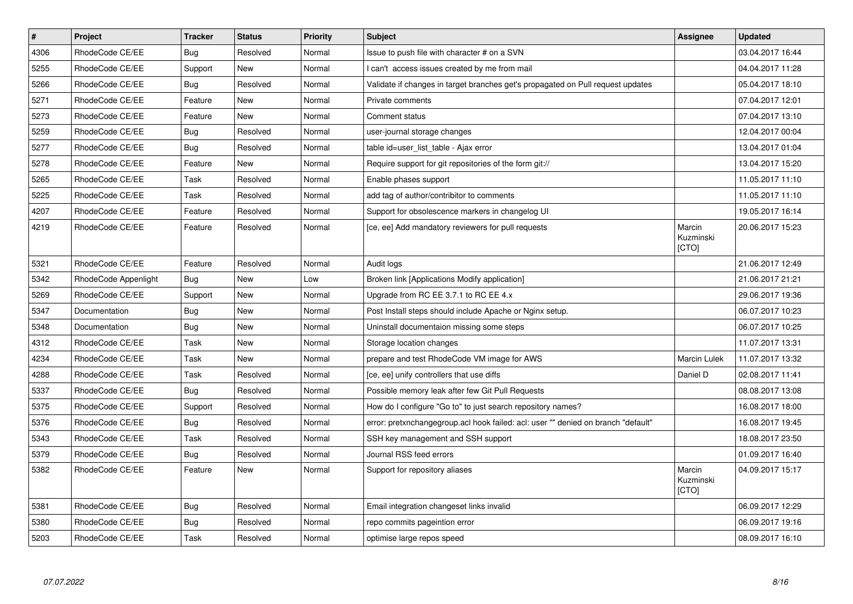| $\vert$ # | Project              | <b>Tracker</b> | <b>Status</b> | <b>Priority</b> | <b>Subject</b>                                                                    | Assignee                            | <b>Updated</b>   |
|-----------|----------------------|----------------|---------------|-----------------|-----------------------------------------------------------------------------------|-------------------------------------|------------------|
| 4306      | RhodeCode CE/EE      | Bug            | Resolved      | Normal          | Issue to push file with character # on a SVN                                      |                                     | 03.04.2017 16:44 |
| 5255      | RhodeCode CE/EE      | Support        | New           | Normal          | can't access issues created by me from mail                                       |                                     | 04.04.2017 11:28 |
| 5266      | RhodeCode CE/EE      | Bug            | Resolved      | Normal          | Validate if changes in target branches get's propagated on Pull request updates   |                                     | 05.04.2017 18:10 |
| 5271      | RhodeCode CE/EE      | Feature        | <b>New</b>    | Normal          | Private comments                                                                  |                                     | 07.04.2017 12:01 |
| 5273      | RhodeCode CE/EE      | Feature        | <b>New</b>    | Normal          | Comment status                                                                    |                                     | 07.04.2017 13:10 |
| 5259      | RhodeCode CE/EE      | Bug            | Resolved      | Normal          | user-journal storage changes                                                      |                                     | 12.04.2017 00:04 |
| 5277      | RhodeCode CE/EE      | Bug            | Resolved      | Normal          | table id=user list table - Ajax error                                             |                                     | 13.04.2017 01:04 |
| 5278      | RhodeCode CE/EE      | Feature        | <b>New</b>    | Normal          | Require support for git repositories of the form git://                           |                                     | 13.04.2017 15:20 |
| 5265      | RhodeCode CE/EE      | Task           | Resolved      | Normal          | Enable phases support                                                             |                                     | 11.05.2017 11:10 |
| 5225      | RhodeCode CE/EE      | Task           | Resolved      | Normal          | add tag of author/contribitor to comments                                         |                                     | 11.05.2017 11:10 |
| 4207      | RhodeCode CE/EE      | Feature        | Resolved      | Normal          | Support for obsolescence markers in changelog UI                                  |                                     | 19.05.2017 16:14 |
| 4219      | RhodeCode CE/EE      | Feature        | Resolved      | Normal          | [ce, ee] Add mandatory reviewers for pull requests                                | Marcin<br>Kuzminski<br>[CTO]        | 20.06.2017 15:23 |
| 5321      | RhodeCode CE/EE      | Feature        | Resolved      | Normal          | Audit logs                                                                        |                                     | 21.06.2017 12:49 |
| 5342      | RhodeCode Appenlight | Bug            | New           | Low             | Broken link [Applications Modify application]                                     |                                     | 21.06.2017 21:21 |
| 5269      | RhodeCode CE/EE      | Support        | New           | Normal          | Upgrade from RC EE 3.7.1 to RC EE 4.x                                             |                                     | 29.06.2017 19:36 |
| 5347      | Documentation        | Bug            | <b>New</b>    | Normal          | Post Install steps should include Apache or Nginx setup.                          |                                     | 06.07.2017 10:23 |
| 5348      | Documentation        | Bug            | <b>New</b>    | Normal          | Uninstall documentaion missing some steps                                         |                                     | 06.07.2017 10:25 |
| 4312      | RhodeCode CE/EE      | Task           | New           | Normal          | Storage location changes                                                          |                                     | 11.07.2017 13:31 |
| 4234      | RhodeCode CE/EE      | Task           | <b>New</b>    | Normal          | prepare and test RhodeCode VM image for AWS                                       | Marcin Lulek                        | 11.07.2017 13:32 |
| 4288      | RhodeCode CE/EE      | Task           | Resolved      | Normal          | [ce, ee] unify controllers that use diffs                                         | Daniel D                            | 02.08.2017 11:41 |
| 5337      | RhodeCode CE/EE      | Bug            | Resolved      | Normal          | Possible memory leak after few Git Pull Requests                                  |                                     | 08.08.2017 13:08 |
| 5375      | RhodeCode CE/EE      | Support        | Resolved      | Normal          | How do I configure "Go to" to just search repository names?                       |                                     | 16.08.2017 18:00 |
| 5376      | RhodeCode CE/EE      | Bug            | Resolved      | Normal          | error: pretxnchangegroup.acl hook failed: acl: user "" denied on branch "default" |                                     | 16.08.2017 19:45 |
| 5343      | RhodeCode CE/EE      | Task           | Resolved      | Normal          | SSH key management and SSH support                                                |                                     | 18.08.2017 23:50 |
| 5379      | RhodeCode CE/EE      | Bug            | Resolved      | Normal          | Journal RSS feed errors                                                           |                                     | 01.09.2017 16:40 |
| 5382      | RhodeCode CE/EE      | Feature        | <b>New</b>    | Normal          | Support for repository aliases                                                    | Marcin<br>Kuzminski<br><b>ICTOI</b> | 04.09.2017 15:17 |
| 5381      | RhodeCode CE/EE      | Bug            | Resolved      | Normal          | Email integration changeset links invalid                                         |                                     | 06.09.2017 12:29 |
| 5380      | RhodeCode CE/EE      | Bug            | Resolved      | Normal          | repo commits pageintion error                                                     |                                     | 06.09.2017 19:16 |
| 5203      | RhodeCode CE/EE      | Task           | Resolved      | Normal          | optimise large repos speed                                                        |                                     | 08.09.2017 16:10 |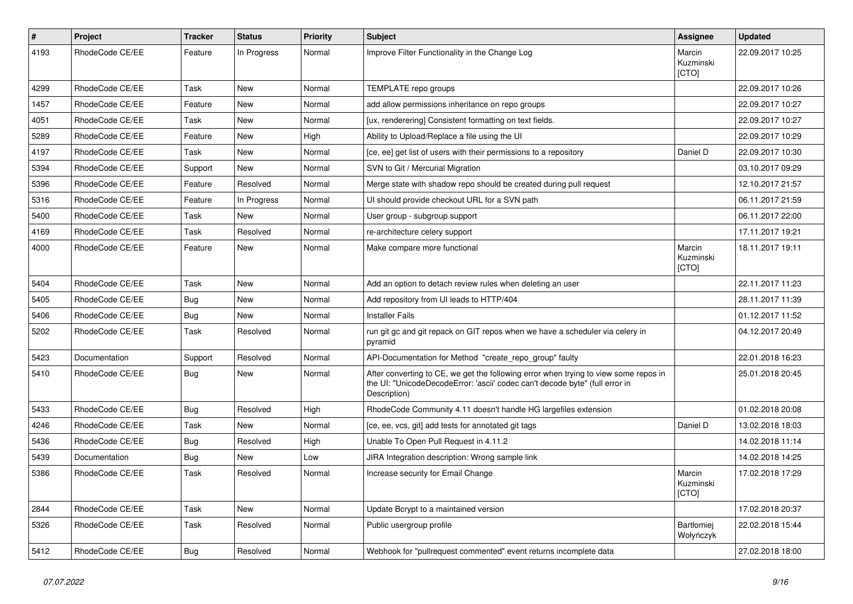| $\#$ | Project         | <b>Tracker</b> | <b>Status</b> | <b>Priority</b> | <b>Subject</b>                                                                                                                                                                       | Assignee                       | <b>Updated</b>   |
|------|-----------------|----------------|---------------|-----------------|--------------------------------------------------------------------------------------------------------------------------------------------------------------------------------------|--------------------------------|------------------|
| 4193 | RhodeCode CE/EE | Feature        | In Progress   | Normal          | Improve Filter Functionality in the Change Log                                                                                                                                       | Marcin<br>Kuzminski<br>[CTO]   | 22.09.2017 10:25 |
| 4299 | RhodeCode CE/EE | Task           | New           | Normal          | TEMPLATE repo groups                                                                                                                                                                 |                                | 22.09.2017 10:26 |
| 1457 | RhodeCode CE/EE | Feature        | New           | Normal          | add allow permissions inheritance on repo groups                                                                                                                                     |                                | 22.09.2017 10:27 |
| 4051 | RhodeCode CE/EE | Task           | New           | Normal          | [ux, renderering] Consistent formatting on text fields.                                                                                                                              |                                | 22.09.2017 10:27 |
| 5289 | RhodeCode CE/EE | Feature        | New           | High            | Ability to Upload/Replace a file using the UI                                                                                                                                        |                                | 22.09.2017 10:29 |
| 4197 | RhodeCode CE/EE | Task           | New           | Normal          | [ce, ee] get list of users with their permissions to a repository                                                                                                                    | Daniel D                       | 22.09.2017 10:30 |
| 5394 | RhodeCode CE/EE | Support        | New           | Normal          | SVN to Git / Mercurial Migration                                                                                                                                                     |                                | 03.10.2017 09:29 |
| 5396 | RhodeCode CE/EE | Feature        | Resolved      | Normal          | Merge state with shadow repo should be created during pull request                                                                                                                   |                                | 12.10.2017 21:57 |
| 5316 | RhodeCode CE/EE | Feature        | In Progress   | Normal          | UI should provide checkout URL for a SVN path                                                                                                                                        |                                | 06.11.2017 21:59 |
| 5400 | RhodeCode CE/EE | Task           | New           | Normal          | User group - subgroup support                                                                                                                                                        |                                | 06.11.2017 22:00 |
| 4169 | RhodeCode CE/EE | Task           | Resolved      | Normal          | re-architecture celery support                                                                                                                                                       |                                | 17.11.2017 19:21 |
| 4000 | RhodeCode CE/EE | Feature        | New           | Normal          | Make compare more functional                                                                                                                                                         | Marcin<br>Kuzminski<br>[CTO]   | 18.11.2017 19:11 |
| 5404 | RhodeCode CE/EE | Task           | New           | Normal          | Add an option to detach review rules when deleting an user                                                                                                                           |                                | 22.11.2017 11:23 |
| 5405 | RhodeCode CE/EE | Bug            | New           | Normal          | Add repository from UI leads to HTTP/404                                                                                                                                             |                                | 28.11.2017 11:39 |
| 5406 | RhodeCode CE/EE | <b>Bug</b>     | New           | Normal          | <b>Installer Fails</b>                                                                                                                                                               |                                | 01.12.2017 11:52 |
| 5202 | RhodeCode CE/EE | Task           | Resolved      | Normal          | run git gc and git repack on GIT repos when we have a scheduler via celery in<br>pyramid                                                                                             |                                | 04.12.2017 20:49 |
| 5423 | Documentation   | Support        | Resolved      | Normal          | API-Documentation for Method "create_repo_group" faulty                                                                                                                              |                                | 22.01.2018 16:23 |
| 5410 | RhodeCode CE/EE | Bug            | New           | Normal          | After converting to CE, we get the following error when trying to view some repos in<br>the UI: "UnicodeDecodeError: 'ascii' codec can't decode byte" (full error in<br>Description) |                                | 25.01.2018 20:45 |
| 5433 | RhodeCode CE/EE | Bug            | Resolved      | High            | RhodeCode Community 4.11 doesn't handle HG largefiles extension                                                                                                                      |                                | 01.02.2018 20:08 |
| 4246 | RhodeCode CE/EE | Task           | New           | Normal          | [ce, ee, vcs, git] add tests for annotated git tags                                                                                                                                  | Daniel D                       | 13.02.2018 18:03 |
| 5436 | RhodeCode CE/EE | Bug            | Resolved      | High            | Unable To Open Pull Request in 4.11.2                                                                                                                                                |                                | 14.02.2018 11:14 |
| 5439 | Documentation   | Bug            | <b>New</b>    | Low             | JIRA Integration description: Wrong sample link                                                                                                                                      |                                | 14.02.2018 14:25 |
| 5386 | RhodeCode CE/EE | Task           | Resolved      | Normal          | Increase security for Email Change                                                                                                                                                   | Marcin<br>Kuzminski<br>[CTO]   | 17.02.2018 17:29 |
| 2844 | RhodeCode CE/EE | Task           | New           | Normal          | Update Bcrypt to a maintained version                                                                                                                                                |                                | 17.02.2018 20:37 |
| 5326 | RhodeCode CE/EE | Task           | Resolved      | Normal          | Public usergroup profile                                                                                                                                                             | <b>Bartłomiej</b><br>Wołyńczyk | 22.02.2018 15:44 |
| 5412 | RhodeCode CE/EE | <b>Bug</b>     | Resolved      | Normal          | Webhook for "pullrequest commented" event returns incomplete data                                                                                                                    |                                | 27.02.2018 18:00 |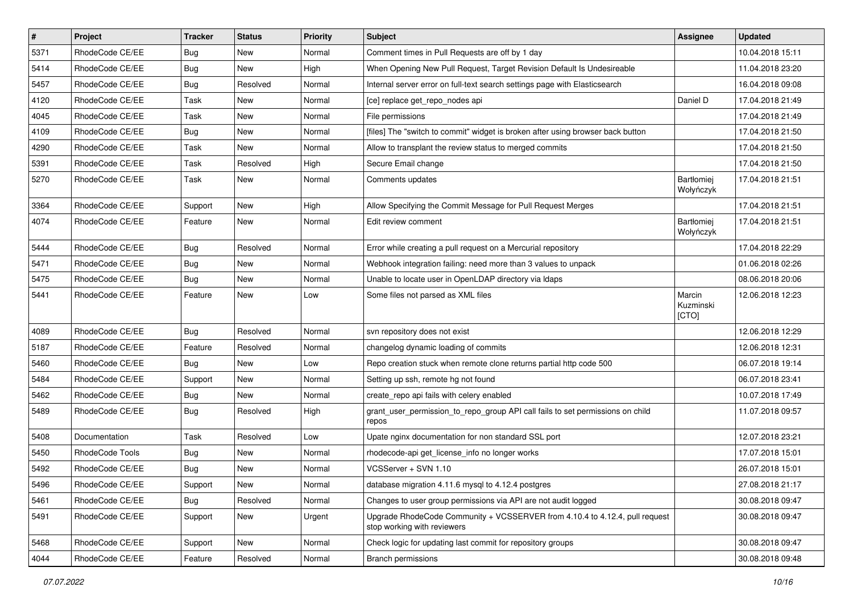| $\sharp$ | Project         | <b>Tracker</b> | <b>Status</b> | Priority | <b>Subject</b>                                                                                             | <b>Assignee</b>              | <b>Updated</b>   |
|----------|-----------------|----------------|---------------|----------|------------------------------------------------------------------------------------------------------------|------------------------------|------------------|
| 5371     | RhodeCode CE/EE | Bug            | New           | Normal   | Comment times in Pull Requests are off by 1 day                                                            |                              | 10.04.2018 15:11 |
| 5414     | RhodeCode CE/EE | Bug            | <b>New</b>    | High     | When Opening New Pull Request, Target Revision Default Is Undesireable                                     |                              | 11.04.2018 23:20 |
| 5457     | RhodeCode CE/EE | Bug            | Resolved      | Normal   | Internal server error on full-text search settings page with Elasticsearch                                 |                              | 16.04.2018 09:08 |
| 4120     | RhodeCode CE/EE | Task           | New           | Normal   | [ce] replace get_repo_nodes api                                                                            | Daniel D                     | 17.04.2018 21:49 |
| 4045     | RhodeCode CE/EE | Task           | <b>New</b>    | Normal   | File permissions                                                                                           |                              | 17.04.2018 21:49 |
| 4109     | RhodeCode CE/EE | Bug            | New           | Normal   | [files] The "switch to commit" widget is broken after using browser back button                            |                              | 17.04.2018 21:50 |
| 4290     | RhodeCode CE/EE | Task           | <b>New</b>    | Normal   | Allow to transplant the review status to merged commits                                                    |                              | 17.04.2018 21:50 |
| 5391     | RhodeCode CE/EE | Task           | Resolved      | High     | Secure Email change                                                                                        |                              | 17.04.2018 21:50 |
| 5270     | RhodeCode CE/EE | Task           | <b>New</b>    | Normal   | Comments updates                                                                                           | Bartłomiej<br>Wołyńczyk      | 17.04.2018 21:51 |
| 3364     | RhodeCode CE/EE | Support        | <b>New</b>    | High     | Allow Specifying the Commit Message for Pull Request Merges                                                |                              | 17.04.2018 21:51 |
| 4074     | RhodeCode CE/EE | Feature        | New           | Normal   | Edit review comment                                                                                        | Bartłomiej<br>Wołyńczyk      | 17.04.2018 21:51 |
| 5444     | RhodeCode CE/EE | Bug            | Resolved      | Normal   | Error while creating a pull request on a Mercurial repository                                              |                              | 17.04.2018 22:29 |
| 5471     | RhodeCode CE/EE | Bug            | <b>New</b>    | Normal   | Webhook integration failing: need more than 3 values to unpack                                             |                              | 01.06.2018 02:26 |
| 5475     | RhodeCode CE/EE | Bug            | <b>New</b>    | Normal   | Unable to locate user in OpenLDAP directory via Idaps                                                      |                              | 08.06.2018 20:06 |
| 5441     | RhodeCode CE/EE | Feature        | <b>New</b>    | Low      | Some files not parsed as XML files                                                                         | Marcin<br>Kuzminski<br>[CTO] | 12.06.2018 12:23 |
| 4089     | RhodeCode CE/EE | Bug            | Resolved      | Normal   | svn repository does not exist                                                                              |                              | 12.06.2018 12:29 |
| 5187     | RhodeCode CE/EE | Feature        | Resolved      | Normal   | changelog dynamic loading of commits                                                                       |                              | 12.06.2018 12:31 |
| 5460     | RhodeCode CE/EE | Bug            | New           | Low      | Repo creation stuck when remote clone returns partial http code 500                                        |                              | 06.07.2018 19:14 |
| 5484     | RhodeCode CE/EE | Support        | <b>New</b>    | Normal   | Setting up ssh, remote hg not found                                                                        |                              | 06.07.2018 23:41 |
| 5462     | RhodeCode CE/EE | Bug            | <b>New</b>    | Normal   | create_repo api fails with celery enabled                                                                  |                              | 10.07.2018 17:49 |
| 5489     | RhodeCode CE/EE | Bug            | Resolved      | High     | grant_user_permission_to_repo_group API call fails to set permissions on child<br>repos                    |                              | 11.07.2018 09:57 |
| 5408     | Documentation   | Task           | Resolved      | Low      | Upate nginx documentation for non standard SSL port                                                        |                              | 12.07.2018 23:21 |
| 5450     | RhodeCode Tools | <b>Bug</b>     | <b>New</b>    | Normal   | rhodecode-api get license info no longer works                                                             |                              | 17.07.2018 15:01 |
| 5492     | RhodeCode CE/EE | <b>Bug</b>     | <b>New</b>    | Normal   | VCSServer + SVN 1.10                                                                                       |                              | 26.07.2018 15:01 |
| 5496     | RhodeCode CE/EE | Support        | New           | Normal   | database migration 4.11.6 mysql to 4.12.4 postgres                                                         |                              | 27.08.2018 21:17 |
| 5461     | RhodeCode CE/EE | Bug            | Resolved      | Normal   | Changes to user group permissions via API are not audit logged                                             |                              | 30.08.2018 09:47 |
| 5491     | RhodeCode CE/EE | Support        | New           | Urgent   | Upgrade RhodeCode Community + VCSSERVER from 4.10.4 to 4.12.4, pull request<br>stop working with reviewers |                              | 30.08.2018 09:47 |
| 5468     | RhodeCode CE/EE | Support        | New           | Normal   | Check logic for updating last commit for repository groups                                                 |                              | 30.08.2018 09:47 |
| 4044     | RhodeCode CE/EE | Feature        | Resolved      | Normal   | <b>Branch permissions</b>                                                                                  |                              | 30.08.2018 09:48 |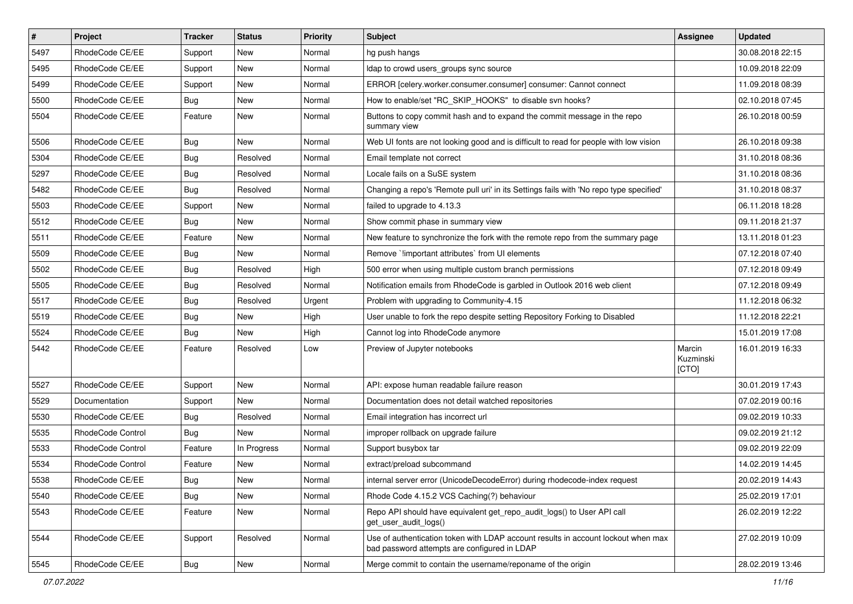| $\pmb{\#}$ | Project                  | <b>Tracker</b> | <b>Status</b> | <b>Priority</b> | Subject                                                                                                                           | <b>Assignee</b>              | <b>Updated</b>   |
|------------|--------------------------|----------------|---------------|-----------------|-----------------------------------------------------------------------------------------------------------------------------------|------------------------------|------------------|
| 5497       | RhodeCode CE/EE          | Support        | New           | Normal          | hg push hangs                                                                                                                     |                              | 30.08.2018 22:15 |
| 5495       | RhodeCode CE/EE          | Support        | New           | Normal          | Idap to crowd users_groups sync source                                                                                            |                              | 10.09.2018 22:09 |
| 5499       | RhodeCode CE/EE          | Support        | New           | Normal          | ERROR [celery.worker.consumer.consumer] consumer: Cannot connect                                                                  |                              | 11.09.2018 08:39 |
| 5500       | RhodeCode CE/EE          | Bug            | New           | Normal          | How to enable/set "RC_SKIP_HOOKS" to disable svn hooks?                                                                           |                              | 02.10.2018 07:45 |
| 5504       | RhodeCode CE/EE          | Feature        | <b>New</b>    | Normal          | Buttons to copy commit hash and to expand the commit message in the repo<br>summary view                                          |                              | 26.10.2018 00:59 |
| 5506       | RhodeCode CE/EE          | Bug            | <b>New</b>    | Normal          | Web UI fonts are not looking good and is difficult to read for people with low vision                                             |                              | 26.10.2018 09:38 |
| 5304       | RhodeCode CE/EE          | <b>Bug</b>     | Resolved      | Normal          | Email template not correct                                                                                                        |                              | 31.10.2018 08:36 |
| 5297       | RhodeCode CE/EE          | <b>Bug</b>     | Resolved      | Normal          | Locale fails on a SuSE system                                                                                                     |                              | 31.10.2018 08:36 |
| 5482       | RhodeCode CE/EE          | <b>Bug</b>     | Resolved      | Normal          | Changing a repo's 'Remote pull uri' in its Settings fails with 'No repo type specified'                                           |                              | 31.10.2018 08:37 |
| 5503       | RhodeCode CE/EE          | Support        | New           | Normal          | failed to upgrade to 4.13.3                                                                                                       |                              | 06.11.2018 18:28 |
| 5512       | RhodeCode CE/EE          | <b>Bug</b>     | New           | Normal          | Show commit phase in summary view                                                                                                 |                              | 09.11.2018 21:37 |
| 5511       | RhodeCode CE/EE          | Feature        | <b>New</b>    | Normal          | New feature to synchronize the fork with the remote repo from the summary page                                                    |                              | 13.11.2018 01:23 |
| 5509       | RhodeCode CE/EE          | <b>Bug</b>     | New           | Normal          | Remove `!important attributes` from UI elements                                                                                   |                              | 07.12.2018 07:40 |
| 5502       | RhodeCode CE/EE          | <b>Bug</b>     | Resolved      | High            | 500 error when using multiple custom branch permissions                                                                           |                              | 07.12.2018 09:49 |
| 5505       | RhodeCode CE/EE          | <b>Bug</b>     | Resolved      | Normal          | Notification emails from RhodeCode is garbled in Outlook 2016 web client                                                          |                              | 07.12.2018 09:49 |
| 5517       | RhodeCode CE/EE          | Bug            | Resolved      | Urgent          | Problem with upgrading to Community-4.15                                                                                          |                              | 11.12.2018 06:32 |
| 5519       | RhodeCode CE/EE          | Bug            | New           | High            | User unable to fork the repo despite setting Repository Forking to Disabled                                                       |                              | 11.12.2018 22:21 |
| 5524       | RhodeCode CE/EE          | Bug            | New           | High            | Cannot log into RhodeCode anymore                                                                                                 |                              | 15.01.2019 17:08 |
| 5442       | RhodeCode CE/EE          | Feature        | Resolved      | Low             | Preview of Jupyter notebooks                                                                                                      | Marcin<br>Kuzminski<br>[CTO] | 16.01.2019 16:33 |
| 5527       | RhodeCode CE/EE          | Support        | <b>New</b>    | Normal          | API: expose human readable failure reason                                                                                         |                              | 30.01.2019 17:43 |
| 5529       | Documentation            | Support        | New           | Normal          | Documentation does not detail watched repositories                                                                                |                              | 07.02.2019 00:16 |
| 5530       | RhodeCode CE/EE          | Bug            | Resolved      | Normal          | Email integration has incorrect url                                                                                               |                              | 09.02.2019 10:33 |
| 5535       | <b>RhodeCode Control</b> | Bug            | <b>New</b>    | Normal          | improper rollback on upgrade failure                                                                                              |                              | 09.02.2019 21:12 |
| 5533       | RhodeCode Control        | Feature        | In Progress   | Normal          | Support busybox tar                                                                                                               |                              | 09.02.2019 22:09 |
| 5534       | RhodeCode Control        | Feature        | New           | Normal          | extract/preload subcommand                                                                                                        |                              | 14.02.2019 14:45 |
| 5538       | RhodeCode CE/EE          | Bug            | New           | Normal          | internal server error (UnicodeDecodeError) during rhodecode-index request                                                         |                              | 20.02.2019 14:43 |
| 5540       | RhodeCode CE/EE          | Bug            | New           | Normal          | Rhode Code 4.15.2 VCS Caching(?) behaviour                                                                                        |                              | 25.02.2019 17:01 |
| 5543       | RhodeCode CE/EE          | Feature        | New           | Normal          | Repo API should have equivalent get_repo_audit_logs() to User API call<br>get_user_audit_logs()                                   |                              | 26.02.2019 12:22 |
| 5544       | RhodeCode CE/EE          | Support        | Resolved      | Normal          | Use of authentication token with LDAP account results in account lockout when max<br>bad password attempts are configured in LDAP |                              | 27.02.2019 10:09 |
| 5545       | RhodeCode CE/EE          | <b>Bug</b>     | New           | Normal          | Merge commit to contain the username/reponame of the origin                                                                       |                              | 28.02.2019 13:46 |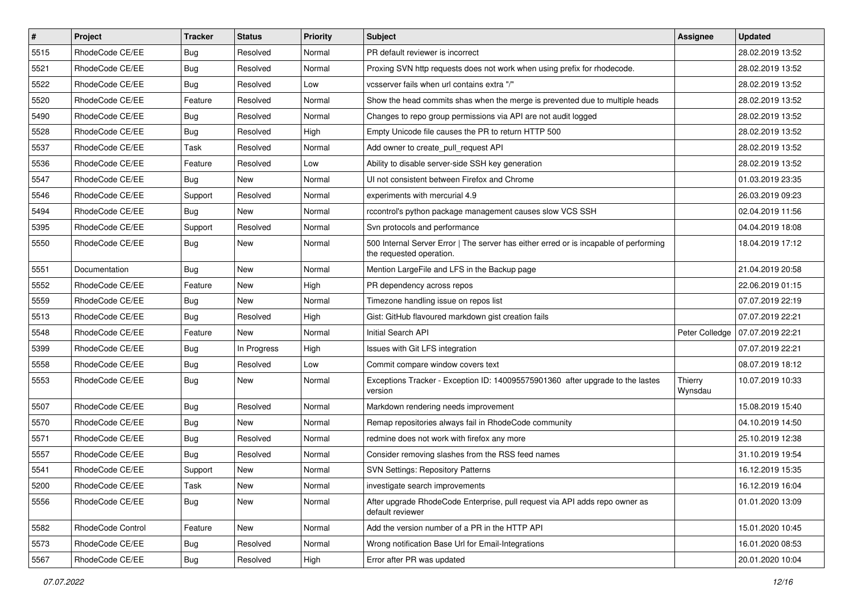| $\sharp$ | Project           | <b>Tracker</b> | <b>Status</b> | Priority | <b>Subject</b>                                                                                                    | <b>Assignee</b>    | <b>Updated</b>   |
|----------|-------------------|----------------|---------------|----------|-------------------------------------------------------------------------------------------------------------------|--------------------|------------------|
| 5515     | RhodeCode CE/EE   | <b>Bug</b>     | Resolved      | Normal   | PR default reviewer is incorrect                                                                                  |                    | 28.02.2019 13:52 |
| 5521     | RhodeCode CE/EE   | Bug            | Resolved      | Normal   | Proxing SVN http requests does not work when using prefix for rhodecode.                                          |                    | 28.02.2019 13:52 |
| 5522     | RhodeCode CE/EE   | <b>Bug</b>     | Resolved      | Low      | vcsserver fails when url contains extra "/"                                                                       |                    | 28.02.2019 13:52 |
| 5520     | RhodeCode CE/EE   | Feature        | Resolved      | Normal   | Show the head commits shas when the merge is prevented due to multiple heads                                      |                    | 28.02.2019 13:52 |
| 5490     | RhodeCode CE/EE   | Bug            | Resolved      | Normal   | Changes to repo group permissions via API are not audit logged                                                    |                    | 28.02.2019 13:52 |
| 5528     | RhodeCode CE/EE   | Bug            | Resolved      | High     | Empty Unicode file causes the PR to return HTTP 500                                                               |                    | 28.02.2019 13:52 |
| 5537     | RhodeCode CE/EE   | Task           | Resolved      | Normal   | Add owner to create pull request API                                                                              |                    | 28.02.2019 13:52 |
| 5536     | RhodeCode CE/EE   | Feature        | Resolved      | Low      | Ability to disable server-side SSH key generation                                                                 |                    | 28.02.2019 13:52 |
| 5547     | RhodeCode CE/EE   | Bug            | New           | Normal   | UI not consistent between Firefox and Chrome                                                                      |                    | 01.03.2019 23:35 |
| 5546     | RhodeCode CE/EE   | Support        | Resolved      | Normal   | experiments with mercurial 4.9                                                                                    |                    | 26.03.2019 09:23 |
| 5494     | RhodeCode CE/EE   | <b>Bug</b>     | <b>New</b>    | Normal   | rccontrol's python package management causes slow VCS SSH                                                         |                    | 02.04.2019 11:56 |
| 5395     | RhodeCode CE/EE   | Support        | Resolved      | Normal   | Svn protocols and performance                                                                                     |                    | 04.04.2019 18:08 |
| 5550     | RhodeCode CE/EE   | Bug            | <b>New</b>    | Normal   | 500 Internal Server Error   The server has either erred or is incapable of performing<br>the requested operation. |                    | 18.04.2019 17:12 |
| 5551     | Documentation     | Bug            | <b>New</b>    | Normal   | Mention LargeFile and LFS in the Backup page                                                                      |                    | 21.04.2019 20:58 |
| 5552     | RhodeCode CE/EE   | Feature        | New           | High     | PR dependency across repos                                                                                        |                    | 22.06.2019 01:15 |
| 5559     | RhodeCode CE/EE   | Bug            | <b>New</b>    | Normal   | Timezone handling issue on repos list                                                                             |                    | 07.07.2019 22:19 |
| 5513     | RhodeCode CE/EE   | Bug            | Resolved      | High     | Gist: GitHub flavoured markdown gist creation fails                                                               |                    | 07.07.2019 22:21 |
| 5548     | RhodeCode CE/EE   | Feature        | <b>New</b>    | Normal   | Initial Search API                                                                                                | Peter Colledge     | 07.07.2019 22:21 |
| 5399     | RhodeCode CE/EE   | <b>Bug</b>     | In Progress   | High     | Issues with Git LFS integration                                                                                   |                    | 07.07.2019 22:21 |
| 5558     | RhodeCode CE/EE   | <b>Bug</b>     | Resolved      | Low      | Commit compare window covers text                                                                                 |                    | 08.07.2019 18:12 |
| 5553     | RhodeCode CE/EE   | Bug            | New           | Normal   | Exceptions Tracker - Exception ID: 140095575901360 after upgrade to the lastes<br>version                         | Thierry<br>Wynsdau | 10.07.2019 10:33 |
| 5507     | RhodeCode CE/EE   | Bug            | Resolved      | Normal   | Markdown rendering needs improvement                                                                              |                    | 15.08.2019 15:40 |
| 5570     | RhodeCode CE/EE   | Bug            | New           | Normal   | Remap repositories always fail in RhodeCode community                                                             |                    | 04.10.2019 14:50 |
| 5571     | RhodeCode CE/EE   | Bug            | Resolved      | Normal   | redmine does not work with firefox any more                                                                       |                    | 25.10.2019 12:38 |
| 5557     | RhodeCode CE/EE   | Bug            | Resolved      | Normal   | Consider removing slashes from the RSS feed names                                                                 |                    | 31.10.2019 19:54 |
| 5541     | RhodeCode CE/EE   | Support        | New           | Normal   | <b>SVN Settings: Repository Patterns</b>                                                                          |                    | 16.12.2019 15:35 |
| 5200     | RhodeCode CE/EE   | Task           | New           | Normal   | investigate search improvements                                                                                   |                    | 16.12.2019 16:04 |
| 5556     | RhodeCode CE/EE   | Bug            | New           | Normal   | After upgrade RhodeCode Enterprise, pull request via API adds repo owner as<br>default reviewer                   |                    | 01.01.2020 13:09 |
| 5582     | RhodeCode Control | Feature        | New           | Normal   | Add the version number of a PR in the HTTP API                                                                    |                    | 15.01.2020 10:45 |
| 5573     | RhodeCode CE/EE   | Bug            | Resolved      | Normal   | Wrong notification Base Url for Email-Integrations                                                                |                    | 16.01.2020 08:53 |
| 5567     | RhodeCode CE/EE   | Bug            | Resolved      | High     | Error after PR was updated                                                                                        |                    | 20.01.2020 10:04 |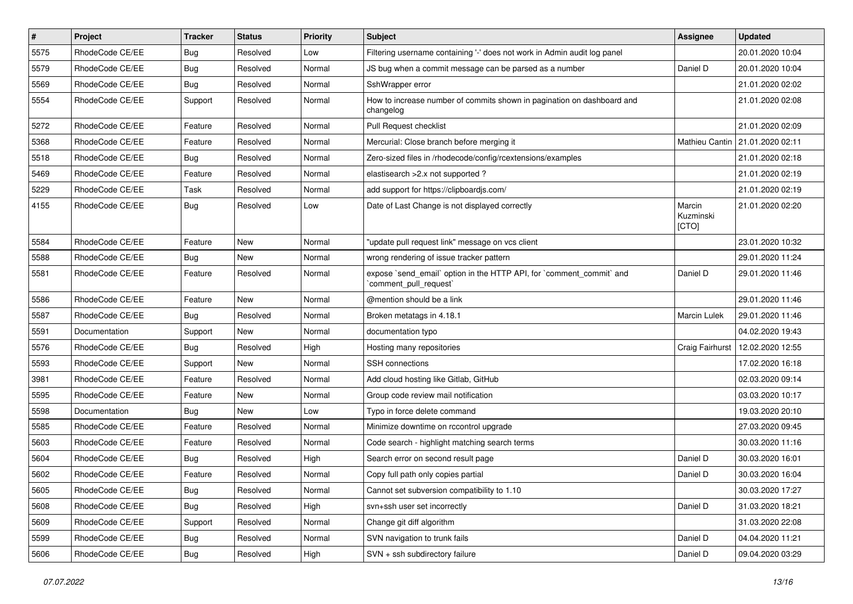| $\vert$ # | Project         | <b>Tracker</b> | <b>Status</b> | <b>Priority</b> | <b>Subject</b>                                                                                 | <b>Assignee</b>              | <b>Updated</b>                  |
|-----------|-----------------|----------------|---------------|-----------------|------------------------------------------------------------------------------------------------|------------------------------|---------------------------------|
| 5575      | RhodeCode CE/EE | <b>Bug</b>     | Resolved      | Low             | Filtering username containing '-' does not work in Admin audit log panel                       |                              | 20.01.2020 10:04                |
| 5579      | RhodeCode CE/EE | Bug            | Resolved      | Normal          | JS bug when a commit message can be parsed as a number                                         | Daniel D                     | 20.01.2020 10:04                |
| 5569      | RhodeCode CE/EE | Bug            | Resolved      | Normal          | SshWrapper error                                                                               |                              | 21.01.2020 02:02                |
| 5554      | RhodeCode CE/EE | Support        | Resolved      | Normal          | How to increase number of commits shown in pagination on dashboard and<br>changelog            |                              | 21.01.2020 02:08                |
| 5272      | RhodeCode CE/EE | Feature        | Resolved      | Normal          | Pull Request checklist                                                                         |                              | 21.01.2020 02:09                |
| 5368      | RhodeCode CE/EE | Feature        | Resolved      | Normal          | Mercurial: Close branch before merging it                                                      |                              | Mathieu Cantin 21.01.2020 02:11 |
| 5518      | RhodeCode CE/EE | Bug            | Resolved      | Normal          | Zero-sized files in /rhodecode/config/rcextensions/examples                                    |                              | 21.01.2020 02:18                |
| 5469      | RhodeCode CE/EE | Feature        | Resolved      | Normal          | elastisearch > 2.x not supported?                                                              |                              | 21.01.2020 02:19                |
| 5229      | RhodeCode CE/EE | Task           | Resolved      | Normal          | add support for https://clipboardjs.com/                                                       |                              | 21.01.2020 02:19                |
| 4155      | RhodeCode CE/EE | Bug            | Resolved      | Low             | Date of Last Change is not displayed correctly                                                 | Marcin<br>Kuzminski<br>[CTO] | 21.01.2020 02:20                |
| 5584      | RhodeCode CE/EE | Feature        | <b>New</b>    | Normal          | "update pull request link" message on vcs client                                               |                              | 23.01.2020 10:32                |
| 5588      | RhodeCode CE/EE | Bug            | New           | Normal          | wrong rendering of issue tracker pattern                                                       |                              | 29.01.2020 11:24                |
| 5581      | RhodeCode CE/EE | Feature        | Resolved      | Normal          | expose `send_email` option in the HTTP API, for `comment_commit` and<br>`comment_pull_request` | Daniel D                     | 29.01.2020 11:46                |
| 5586      | RhodeCode CE/EE | Feature        | <b>New</b>    | Normal          | @mention should be a link                                                                      |                              | 29.01.2020 11:46                |
| 5587      | RhodeCode CE/EE | Bug            | Resolved      | Normal          | Broken metatags in 4.18.1                                                                      | <b>Marcin Lulek</b>          | 29.01.2020 11:46                |
| 5591      | Documentation   | Support        | <b>New</b>    | Normal          | documentation typo                                                                             |                              | 04.02.2020 19:43                |
| 5576      | RhodeCode CE/EE | Bug            | Resolved      | High            | Hosting many repositories                                                                      | Craig Fairhurst              | 12.02.2020 12:55                |
| 5593      | RhodeCode CE/EE | Support        | New           | Normal          | SSH connections                                                                                |                              | 17.02.2020 16:18                |
| 3981      | RhodeCode CE/EE | Feature        | Resolved      | Normal          | Add cloud hosting like Gitlab, GitHub                                                          |                              | 02.03.2020 09:14                |
| 5595      | RhodeCode CE/EE | Feature        | New           | Normal          | Group code review mail notification                                                            |                              | 03.03.2020 10:17                |
| 5598      | Documentation   | Bug            | New           | Low             | Typo in force delete command                                                                   |                              | 19.03.2020 20:10                |
| 5585      | RhodeCode CE/EE | Feature        | Resolved      | Normal          | Minimize downtime on rccontrol upgrade                                                         |                              | 27.03.2020 09:45                |
| 5603      | RhodeCode CE/EE | Feature        | Resolved      | Normal          | Code search - highlight matching search terms                                                  |                              | 30.03.2020 11:16                |
| 5604      | RhodeCode CE/EE | Bug            | Resolved      | High            | Search error on second result page                                                             | Daniel D                     | 30.03.2020 16:01                |
| 5602      | RhodeCode CE/EE | Feature        | Resolved      | Normal          | Copy full path only copies partial                                                             | Daniel D                     | 30.03.2020 16:04                |
| 5605      | RhodeCode CE/EE | Bug            | Resolved      | Normal          | Cannot set subversion compatibility to 1.10                                                    |                              | 30.03.2020 17:27                |
| 5608      | RhodeCode CE/EE | Bug            | Resolved      | High            | svn+ssh user set incorrectly                                                                   | Daniel D                     | 31.03.2020 18:21                |
| 5609      | RhodeCode CE/EE | Support        | Resolved      | Normal          | Change git diff algorithm                                                                      |                              | 31.03.2020 22:08                |
| 5599      | RhodeCode CE/EE | <b>Bug</b>     | Resolved      | Normal          | SVN navigation to trunk fails                                                                  | Daniel D                     | 04.04.2020 11:21                |
| 5606      | RhodeCode CE/EE | Bug            | Resolved      | High            | SVN + ssh subdirectory failure                                                                 | Daniel D                     | 09.04.2020 03:29                |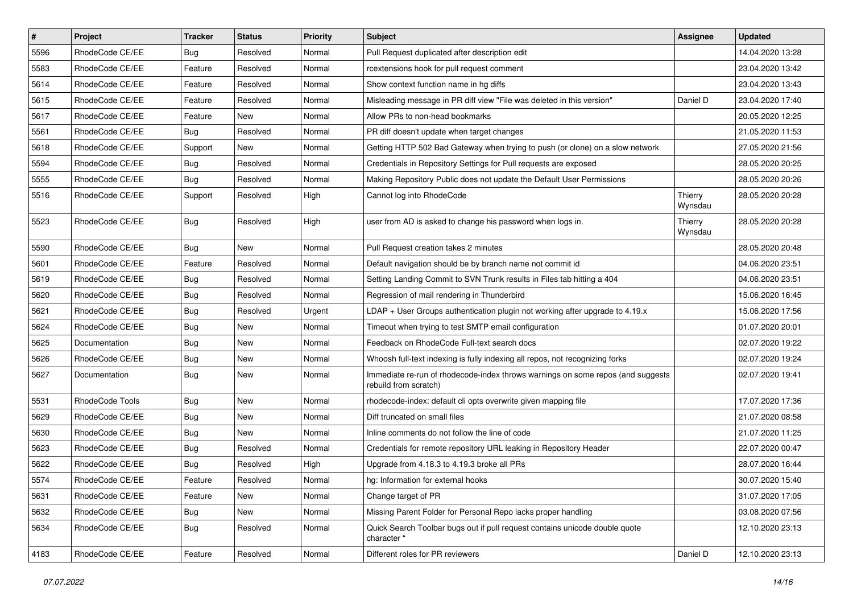| $\vert$ # | Project         | Tracker    | <b>Status</b> | <b>Priority</b> | Subject                                                                                                  | Assignee           | <b>Updated</b>   |
|-----------|-----------------|------------|---------------|-----------------|----------------------------------------------------------------------------------------------------------|--------------------|------------------|
| 5596      | RhodeCode CE/EE | Bug        | Resolved      | Normal          | Pull Request duplicated after description edit                                                           |                    | 14.04.2020 13:28 |
| 5583      | RhodeCode CE/EE | Feature    | Resolved      | Normal          | rcextensions hook for pull request comment                                                               |                    | 23.04.2020 13:42 |
| 5614      | RhodeCode CE/EE | Feature    | Resolved      | Normal          | Show context function name in hg diffs                                                                   |                    | 23.04.2020 13:43 |
| 5615      | RhodeCode CE/EE | Feature    | Resolved      | Normal          | Misleading message in PR diff view "File was deleted in this version"                                    | Daniel D           | 23.04.2020 17:40 |
| 5617      | RhodeCode CE/EE | Feature    | New           | Normal          | Allow PRs to non-head bookmarks                                                                          |                    | 20.05.2020 12:25 |
| 5561      | RhodeCode CE/EE | <b>Bug</b> | Resolved      | Normal          | PR diff doesn't update when target changes                                                               |                    | 21.05.2020 11:53 |
| 5618      | RhodeCode CE/EE | Support    | New           | Normal          | Getting HTTP 502 Bad Gateway when trying to push (or clone) on a slow network                            |                    | 27.05.2020 21:56 |
| 5594      | RhodeCode CE/EE | <b>Bug</b> | Resolved      | Normal          | Credentials in Repository Settings for Pull requests are exposed                                         |                    | 28.05.2020 20:25 |
| 5555      | RhodeCode CE/EE | Bug        | Resolved      | Normal          | Making Repository Public does not update the Default User Permissions                                    |                    | 28.05.2020 20:26 |
| 5516      | RhodeCode CE/EE | Support    | Resolved      | High            | Cannot log into RhodeCode                                                                                | Thierry<br>Wynsdau | 28.05.2020 20:28 |
| 5523      | RhodeCode CE/EE | Bug        | Resolved      | High            | user from AD is asked to change his password when logs in.                                               | Thierry<br>Wynsdau | 28.05.2020 20:28 |
| 5590      | RhodeCode CE/EE | <b>Bug</b> | New           | Normal          | Pull Request creation takes 2 minutes                                                                    |                    | 28.05.2020 20:48 |
| 5601      | RhodeCode CE/EE | Feature    | Resolved      | Normal          | Default navigation should be by branch name not commit id                                                |                    | 04.06.2020 23:51 |
| 5619      | RhodeCode CE/EE | <b>Bug</b> | Resolved      | Normal          | Setting Landing Commit to SVN Trunk results in Files tab hitting a 404                                   |                    | 04.06.2020 23:51 |
| 5620      | RhodeCode CE/EE | <b>Bug</b> | Resolved      | Normal          | Regression of mail rendering in Thunderbird                                                              |                    | 15.06.2020 16:45 |
| 5621      | RhodeCode CE/EE | Bug        | Resolved      | Urgent          | LDAP + User Groups authentication plugin not working after upgrade to $4.19.x$                           |                    | 15.06.2020 17:56 |
| 5624      | RhodeCode CE/EE | <b>Bug</b> | New           | Normal          | Timeout when trying to test SMTP email configuration                                                     |                    | 01.07.2020 20:01 |
| 5625      | Documentation   | <b>Bug</b> | New           | Normal          | Feedback on RhodeCode Full-text search docs                                                              |                    | 02.07.2020 19:22 |
| 5626      | RhodeCode CE/EE | <b>Bug</b> | New           | Normal          | Whoosh full-text indexing is fully indexing all repos, not recognizing forks                             |                    | 02.07.2020 19:24 |
| 5627      | Documentation   | <b>Bug</b> | New           | Normal          | Immediate re-run of rhodecode-index throws warnings on some repos (and suggests<br>rebuild from scratch) |                    | 02.07.2020 19:41 |
| 5531      | RhodeCode Tools | Bug        | New           | Normal          | rhodecode-index: default cli opts overwrite given mapping file                                           |                    | 17.07.2020 17:36 |
| 5629      | RhodeCode CE/EE | <b>Bug</b> | New           | Normal          | Diff truncated on small files                                                                            |                    | 21.07.2020 08:58 |
| 5630      | RhodeCode CE/EE | <b>Bug</b> | <b>New</b>    | Normal          | Inline comments do not follow the line of code                                                           |                    | 21.07.2020 11:25 |
| 5623      | RhodeCode CE/EE | <b>Bug</b> | Resolved      | Normal          | Credentials for remote repository URL leaking in Repository Header                                       |                    | 22.07.2020 00:47 |
| 5622      | RhodeCode CE/EE | Bug        | Resolved      | High            | Upgrade from 4.18.3 to 4.19.3 broke all PRs                                                              |                    | 28.07.2020 16:44 |
| 5574      | RhodeCode CE/EE | Feature    | Resolved      | Normal          | hg: Information for external hooks                                                                       |                    | 30.07.2020 15:40 |
| 5631      | RhodeCode CE/EE | Feature    | New           | Normal          | Change target of PR                                                                                      |                    | 31.07.2020 17:05 |
| 5632      | RhodeCode CE/EE | Bug        | New           | Normal          | Missing Parent Folder for Personal Repo lacks proper handling                                            |                    | 03.08.2020 07:56 |
| 5634      | RhodeCode CE/EE | <b>Bug</b> | Resolved      | Normal          | Quick Search Toolbar bugs out if pull request contains unicode double quote<br>character "               |                    | 12.10.2020 23:13 |
| 4183      | RhodeCode CE/EE | Feature    | Resolved      | Normal          | Different roles for PR reviewers                                                                         | Daniel D           | 12.10.2020 23:13 |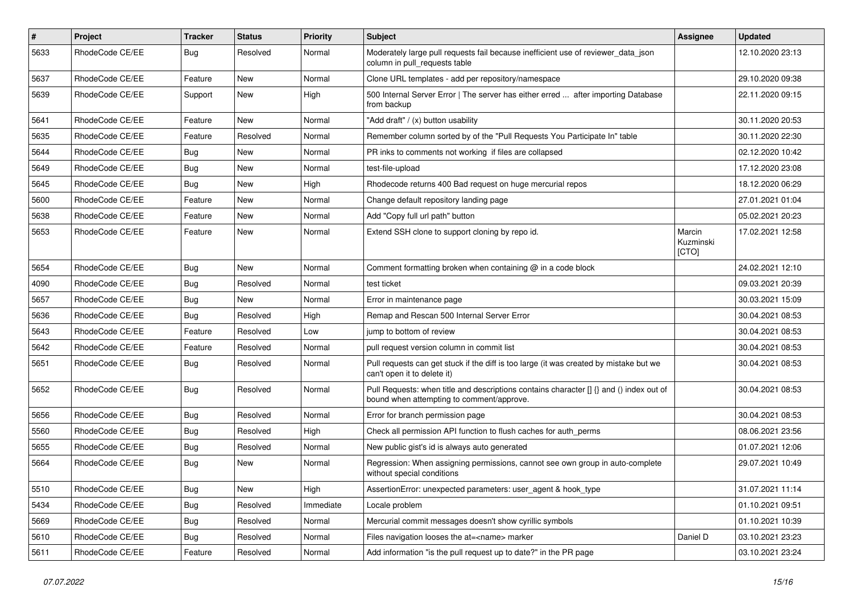| $\sharp$ | Project         | Tracker    | <b>Status</b> | Priority  | Subject                                                                                                                              | Assignee                     | <b>Updated</b>   |
|----------|-----------------|------------|---------------|-----------|--------------------------------------------------------------------------------------------------------------------------------------|------------------------------|------------------|
| 5633     | RhodeCode CE/EE | Bug        | Resolved      | Normal    | Moderately large pull requests fail because inefficient use of reviewer_data_json<br>column in pull requests table                   |                              | 12.10.2020 23:13 |
| 5637     | RhodeCode CE/EE | Feature    | New           | Normal    | Clone URL templates - add per repository/namespace                                                                                   |                              | 29.10.2020 09:38 |
| 5639     | RhodeCode CE/EE | Support    | New           | High      | 500 Internal Server Error   The server has either erred  after importing Database<br>from backup                                     |                              | 22.11.2020 09:15 |
| 5641     | RhodeCode CE/EE | Feature    | <b>New</b>    | Normal    | "Add draft" / (x) button usability                                                                                                   |                              | 30.11.2020 20:53 |
| 5635     | RhodeCode CE/EE | Feature    | Resolved      | Normal    | Remember column sorted by of the "Pull Requests You Participate In" table                                                            |                              | 30.11.2020 22:30 |
| 5644     | RhodeCode CE/EE | Bug        | New           | Normal    | PR inks to comments not working if files are collapsed                                                                               |                              | 02.12.2020 10:42 |
| 5649     | RhodeCode CE/EE | <b>Bug</b> | New           | Normal    | test-file-upload                                                                                                                     |                              | 17.12.2020 23:08 |
| 5645     | RhodeCode CE/EE | <b>Bug</b> | <b>New</b>    | High      | Rhodecode returns 400 Bad request on huge mercurial repos                                                                            |                              | 18.12.2020 06:29 |
| 5600     | RhodeCode CE/EE | Feature    | New           | Normal    | Change default repository landing page                                                                                               |                              | 27.01.2021 01:04 |
| 5638     | RhodeCode CE/EE | Feature    | New           | Normal    | Add "Copy full url path" button                                                                                                      |                              | 05.02.2021 20:23 |
| 5653     | RhodeCode CE/EE | Feature    | New           | Normal    | Extend SSH clone to support cloning by repo id.                                                                                      | Marcin<br>Kuzminski<br>[CTO] | 17.02.2021 12:58 |
| 5654     | RhodeCode CE/EE | Bug        | New           | Normal    | Comment formatting broken when containing @ in a code block                                                                          |                              | 24.02.2021 12:10 |
| 4090     | RhodeCode CE/EE | <b>Bug</b> | Resolved      | Normal    | test ticket                                                                                                                          |                              | 09.03.2021 20:39 |
| 5657     | RhodeCode CE/EE | <b>Bug</b> | New           | Normal    | Error in maintenance page                                                                                                            |                              | 30.03.2021 15:09 |
| 5636     | RhodeCode CE/EE | Bug        | Resolved      | High      | Remap and Rescan 500 Internal Server Error                                                                                           |                              | 30.04.2021 08:53 |
| 5643     | RhodeCode CE/EE | Feature    | Resolved      | Low       | jump to bottom of review                                                                                                             |                              | 30.04.2021 08:53 |
| 5642     | RhodeCode CE/EE | Feature    | Resolved      | Normal    | pull request version column in commit list                                                                                           |                              | 30.04.2021 08:53 |
| 5651     | RhodeCode CE/EE | Bug        | Resolved      | Normal    | Pull requests can get stuck if the diff is too large (it was created by mistake but we<br>can't open it to delete it)                |                              | 30.04.2021 08:53 |
| 5652     | RhodeCode CE/EE | Bug        | Resolved      | Normal    | Pull Requests: when title and descriptions contains character [] {} and () index out of<br>bound when attempting to comment/approve. |                              | 30.04.2021 08:53 |
| 5656     | RhodeCode CE/EE | Bug        | Resolved      | Normal    | Error for branch permission page                                                                                                     |                              | 30.04.2021 08:53 |
| 5560     | RhodeCode CE/EE | <b>Bug</b> | Resolved      | High      | Check all permission API function to flush caches for auth perms                                                                     |                              | 08.06.2021 23:56 |
| 5655     | RhodeCode CE/EE | <b>Bug</b> | Resolved      | Normal    | New public gist's id is always auto generated                                                                                        |                              | 01.07.2021 12:06 |
| 5664     | RhodeCode CE/EE | <b>Bug</b> | New           | Normal    | Regression: When assigning permissions, cannot see own group in auto-complete<br>without special conditions                          |                              | 29.07.2021 10:49 |
| 5510     | RhodeCode CE/EE | Bug        | New           | High      | AssertionError: unexpected parameters: user agent & hook type                                                                        |                              | 31.07.2021 11:14 |
| 5434     | RhodeCode CE/EE | <b>Bug</b> | Resolved      | Immediate | Locale problem                                                                                                                       |                              | 01.10.2021 09:51 |
| 5669     | RhodeCode CE/EE | Bug        | Resolved      | Normal    | Mercurial commit messages doesn't show cyrillic symbols                                                                              |                              | 01.10.2021 10:39 |
| 5610     | RhodeCode CE/EE | Bug        | Resolved      | Normal    | Files navigation looses the at= <name> marker</name>                                                                                 | Daniel D                     | 03.10.2021 23:23 |
| 5611     | RhodeCode CE/EE | Feature    | Resolved      | Normal    | Add information "is the pull request up to date?" in the PR page                                                                     |                              | 03.10.2021 23:24 |